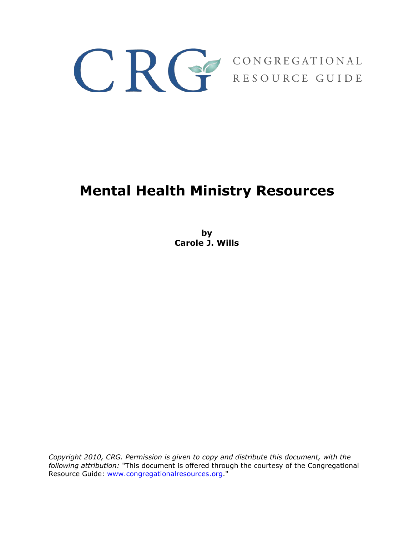

# **Mental Health Ministry Resources**

**by Carole J. Wills**

*Copyright 2010, CRG. Permission is given to copy and distribute this document, with the following attribution:* "This document is offered through the courtesy of the Congregational Resource Guide: [www.congregationalresources.org.](http://www.congregationalresources.org/)"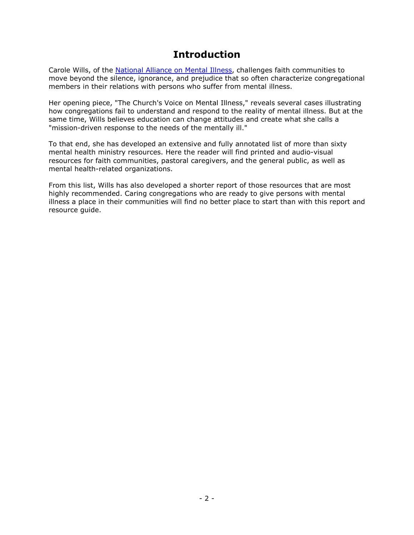# **Introduction**

<span id="page-1-0"></span>Carole Wills, of the [National Alliance on Mental Illness,](http://www.nami.org/) challenges faith communities to move beyond the silence, ignorance, and prejudice that so often characterize congregational members in their relations with persons who suffer from mental illness.

Her opening piece, "The Church's Voice on Mental Illness," reveals several cases illustrating how congregations fail to understand and respond to the reality of mental illness. But at the same time, Wills believes education can change attitudes and create what she calls a "mission-driven response to the needs of the mentally ill."

To that end, she has developed an extensive and fully annotated list of more than sixty mental health ministry resources. Here the reader will find printed and audio-visual resources for faith communities, pastoral caregivers, and the general public, as well as mental health-related organizations.

From this list, Wills has also developed a shorter report of those resources that are most highly recommended. Caring congregations who are ready to give persons with mental illness a place in their communities will find no better place to start than with this report and resource guide.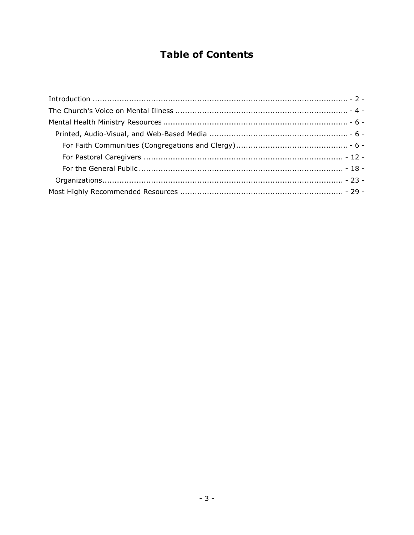# **Table of Contents**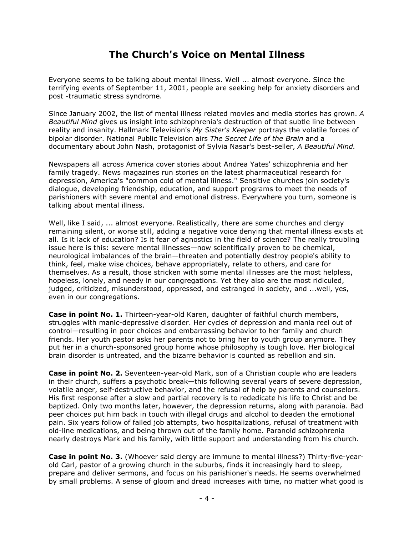# **The Church's Voice on Mental Illness**

<span id="page-3-0"></span>Everyone seems to be talking about mental illness. Well ... almost everyone. Since the terrifying events of September 11, 2001, people are seeking help for anxiety disorders and post -traumatic stress syndrome.

Since January 2002, the list of mental illness related movies and media stories has grown. *A Beautiful Mind* gives us insight into schizophrenia's destruction of that subtle line between reality and insanity. Hallmark Television's *My Sister's Keeper* portrays the volatile forces of bipolar disorder. National Public Television airs *The Secret Life of the Brain* and a documentary about John Nash, protagonist of Sylvia Nasar's best-seller, *A Beautiful Mind.*

Newspapers all across America cover stories about Andrea Yates' schizophrenia and her family tragedy. News magazines run stories on the latest pharmaceutical research for depression, America's "common cold of mental illness." Sensitive churches join society's dialogue, developing friendship, education, and support programs to meet the needs of parishioners with severe mental and emotional distress. Everywhere you turn, someone is talking about mental illness.

Well, like I said, ... almost everyone. Realistically, there are some churches and clergy remaining silent, or worse still, adding a negative voice denying that mental illness exists at all. Is it lack of education? Is it fear of agnostics in the field of science? The really troubling issue here is this: severe mental illnesses—now scientifically proven to be chemical, neurological imbalances of the brain—threaten and potentially destroy people's ability to think, feel, make wise choices, behave appropriately, relate to others, and care for themselves. As a result, those stricken with some mental illnesses are the most helpless, hopeless, lonely, and needy in our congregations. Yet they also are the most ridiculed, judged, criticized, misunderstood, oppressed, and estranged in society, and ...well, yes, even in our congregations.

**Case in point No. 1.** Thirteen-year-old Karen, daughter of faithful church members, struggles with manic-depressive disorder. Her cycles of depression and mania reel out of control—resulting in poor choices and embarrassing behavior to her family and church friends. Her youth pastor asks her parents not to bring her to youth group anymore. They put her in a church-sponsored group home whose philosophy is tough love. Her biological brain disorder is untreated, and the bizarre behavior is counted as rebellion and sin.

**Case in point No. 2.** Seventeen-year-old Mark, son of a Christian couple who are leaders in their church, suffers a psychotic break—this following several years of severe depression, volatile anger, self-destructive behavior, and the refusal of help by parents and counselors. His first response after a slow and partial recovery is to rededicate his life to Christ and be baptized. Only two months later, however, the depression returns, along with paranoia. Bad peer choices put him back in touch with illegal drugs and alcohol to deaden the emotional pain. Six years follow of failed job attempts, two hospitalizations, refusal of treatment with old-line medications, and being thrown out of the family home. Paranoid schizophrenia nearly destroys Mark and his family, with little support and understanding from his church.

**Case in point No. 3.** (Whoever said clergy are immune to mental illness?) Thirty-five-yearold Carl, pastor of a growing church in the suburbs, finds it increasingly hard to sleep, prepare and deliver sermons, and focus on his parishioner's needs. He seems overwhelmed by small problems. A sense of gloom and dread increases with time, no matter what good is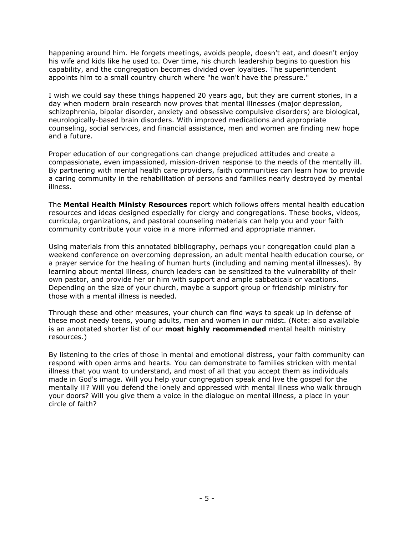happening around him. He forgets meetings, avoids people, doesn't eat, and doesn't enjoy his wife and kids like he used to. Over time, his church leadership begins to question his capability, and the congregation becomes divided over loyalties. The superintendent appoints him to a small country church where "he won't have the pressure."

I wish we could say these things happened 20 years ago, but they are current stories, in a day when modern brain research now proves that mental illnesses (major depression, schizophrenia, bipolar disorder, anxiety and obsessive compulsive disorders) are biological, neurologically-based brain disorders. With improved medications and appropriate counseling, social services, and financial assistance, men and women are finding new hope and a future.

Proper education of our congregations can change prejudiced attitudes and create a compassionate, even impassioned, mission-driven response to the needs of the mentally ill. By partnering with mental health care providers, faith communities can learn how to provide a caring community in the rehabilitation of persons and families nearly destroyed by mental illness.

The **Mental Health Ministy Resources** report which follows offers mental health education resources and ideas designed especially for clergy and congregations. These books, videos, curricula, organizations, and pastoral counseling materials can help you and your faith community contribute your voice in a more informed and appropriate manner.

Using materials from this annotated bibliography, perhaps your congregation could plan a weekend conference on overcoming depression, an adult mental health education course, or a prayer service for the healing of human hurts (including and naming mental illnesses). By learning about mental illness, church leaders can be sensitized to the vulnerability of their own pastor, and provide her or him with support and ample sabbaticals or vacations. Depending on the size of your church, maybe a support group or friendship ministry for those with a mental illness is needed.

Through these and other measures, your church can find ways to speak up in defense of these most needy teens, young adults, men and women in our midst. (Note: also available is an annotated shorter list of our **most highly recommended** mental health ministry resources.)

By listening to the cries of those in mental and emotional distress, your faith community can respond with open arms and hearts. You can demonstrate to families stricken with mental illness that you want to understand, and most of all that you accept them as individuals made in God's image. Will you help your congregation speak and live the gospel for the mentally ill? Will you defend the lonely and oppressed with mental illness who walk through your doors? Will you give them a voice in the dialogue on mental illness, a place in your circle of faith?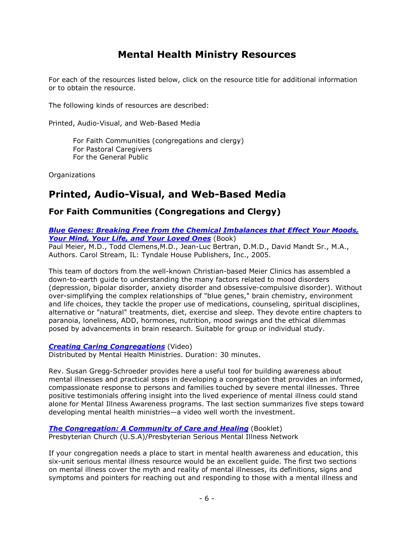# **Mental Health Ministry Resources**

<span id="page-5-0"></span>For each of the resources listed below, click on the resource title for additional information or to obtain the resource.

The following kinds of resources are described:

Printed, Audio-Visual, and Web-Based Media

For Faith Communities (congregations and clergy) For Pastoral Caregivers For the General Public

Organizations

# <span id="page-5-1"></span>**Printed, Audio-Visual, and Web-Based Media**

# <span id="page-5-2"></span>**For Faith Communities (Congregations and Clergy)**

*[Blue Genes: Breaking Free from the Chemical Imbalances that Effect Your Moods,](http://www.amazon.com/dp/1414312164)  [Your Mind, Your Life, and Your Loved Ones](http://www.amazon.com/dp/1414312164)* (Book)

Paul Meier, M.D., Todd Clemens,M.D., Jean-Luc Bertran, D.M.D., David Mandt Sr., M.A., Authors. Carol Stream, IL: Tyndale House Publishers, Inc., 2005.

This team of doctors from the well-known Christian-based Meier Clinics has assembled a down-to-earth guide to understanding the many factors related to mood disorders (depression, bipolar disorder, anxiety disorder and obsessive-compulsive disorder). Without over-simplifying the complex relationships of "blue genes," brain chemistry, environment and life choices, they tackle the proper use of medications, counseling, spiritual disciplines, alternative or "natural" treatments, diet, exercise and sleep. They devote entire chapters to paranoia, loneliness, ADD, hormones, nutrition, mood swings and the ethical dilemmas posed by advancements in brain research. Suitable for group or individual study.

#### *[Creating Caring Congregations](http://www.mentalhealthministries.net/mhm_resources/vhs_resources/caring_congregations_vhs.html)* (Video)

Distributed by Mental Health Ministries. Duration: 30 minutes.

Rev. Susan Gregg-Schroeder provides here a useful tool for building awareness about mental illnesses and practical steps in developing a congregation that provides an informed, compassionate response to persons and families touched by severe mental illnesses. Three positive testimonials offering insight into the lived experience of mental illness could stand alone for Mental Illness Awareness programs. The last section summarizes five steps toward developing mental health ministries—a video well worth the investment.

#### **[The Congregation: A Community of Care and Healing](http://store.pcusa.org/25790007;jsessionid=GRBzM1zHVq1g5lbccXgJlphKW2pTYhqLwWQ7HDKzJvnLdZb4Jq2gqpLlh58SnclrDvfnDxqs2hYjYCpsyssS7TzSMhR1GpTFjtQcVG6pFj1RPryp2h1kXv16KCf21Qkt!-18541724)** (Booklet) Presbyterian Church (U.S.A)/Presbyterian Serious Mental Illness Network

If your congregation needs a place to start in mental health awareness and education, this six-unit serious mental illness resource would be an excellent guide. The first two sections on mental illness cover the myth and reality of mental illnesses, its definitions, signs and symptoms and pointers for reaching out and responding to those with a mental illness and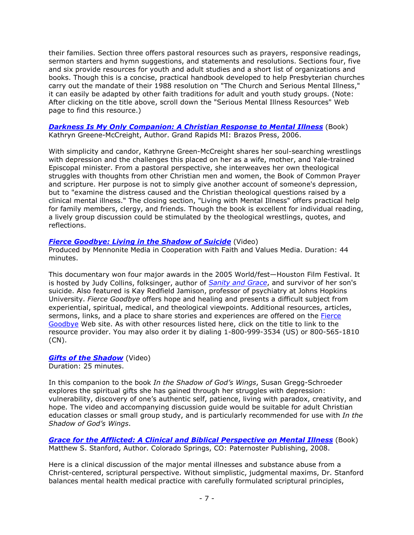their families. Section three offers pastoral resources such as prayers, responsive readings, sermon starters and hymn suggestions, and statements and resolutions. Sections four, five and six provide resources for youth and adult studies and a short list of organizations and books. Though this is a concise, practical handbook developed to help Presbyterian churches carry out the mandate of their 1988 resolution on "The Church and Serious Mental Illness," it can easily be adapted by other faith traditions for adult and youth study groups. (Note: After clicking on the title above, scroll down the "Serious Mental Illness Resources" Web page to find this resource.)

#### *[Darkness Is My Only Companion: A Christian Response to Mental Illness](http://www.amazon.com/dp/1587431750)* (Book) Kathryn Greene-McCreight, Author. Grand Rapids MI: Brazos Press, 2006.

With simplicity and candor, Kathryne Green-McCreight shares her soul-searching wrestlings with depression and the challenges this placed on her as a wife, mother, and Yale-trained Episcopal minister. From a pastoral perspective, she interweaves her own theological struggles with thoughts from other Christian men and women, the Book of Common Prayer and scripture. Her purpose is not to simply give another account of someone's depression, but to "examine the distress caused and the Christian theological questions raised by a clinical mental illness." The closing section, "Living with Mental Illness" offers practical help for family members, clergy, and friends. Though the book is excellent for individual reading, a lively group discussion could be stimulated by the theological wrestlings, quotes, and reflections.

#### **[Fierce Goodbye: Living in the Shadow of Suicide](http://www.fiercegoodbye.com/)** (Video)

Produced by Mennonite Media in Cooperation with Faith and Values Media. Duration: 44 minutes.

This documentary won four major awards in the 2005 World/fest—Houston Film Festival. It is hosted by Judy Collins, folksinger, author of *[Sanity and Grace](http://us.penguingroup.com/nf/Book/BookDisplay/0,,9781585424757,00.html)*, and survivor of her son's suicide. Also featured is Kay Redfield Jamison, professor of psychiatry at Johns Hopkins University. *Fierce Goodbye* offers hope and healing and presents a difficult subject from experiential, spiritual, medical, and theological viewpoints. Additional resources, articles, sermons, links, and a place to share stories and experiences are offered on the [Fierce](http://www.fiercegoodbye.com/)  [Goodbye](http://www.fiercegoodbye.com/) Web site. As with other resources listed here, click on the title to link to the resource provider. You may also order it by dialing 1-800-999-3534 (US) or 800-565-1810 (CN).

#### *[Gifts of the Shadow](http://www.mentalhealthministries.net/mhm_resources/vhs_resources/gifts_shadow.html)* (Video) Duration: 25 minutes.

In this companion to the book *In the Shadow of God's Wings*, Susan Gregg-Schroeder explores the spiritual gifts she has gained through her struggles with depression: vulnerability, discovery of one's authentic self, patience, living with paradox, creativity, and hope. The video and accompanying discussion guide would be suitable for adult Christian education classes or small group study, and is particularly recommended for use with *In the Shadow of God's Wings*.

*[Grace for the Afflicted: A Clinical and Biblical Perspective on Mental Illness](http://www.amazon.com/dp/1934068446)* (Book) Matthew S. Stanford, Author. Colorado Springs, CO: Paternoster Publishing, 2008.

Here is a clinical discussion of the major mental illnesses and substance abuse from a Christ-centered, scriptural perspective. Without simplistic, judgmental maxims, Dr. Stanford balances mental health medical practice with carefully formulated scriptural principles,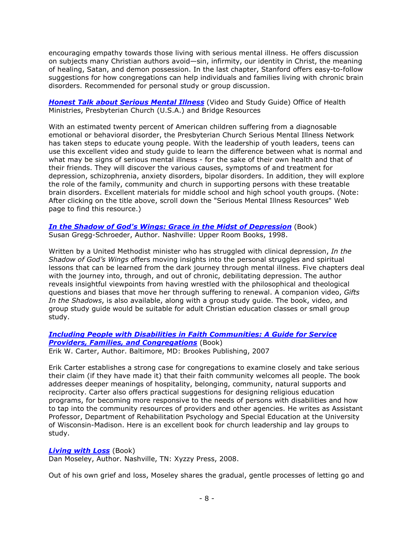encouraging empathy towards those living with serious mental illness. He offers discussion on subjects many Christian authors avoid—sin, infirmity, our identity in Christ, the meaning of healing, Satan, and demon possession. In the last chapter, Stanford offers easy-to-follow suggestions for how congregations can help individuals and families living with chronic brain disorders. Recommended for personal study or group discussion.

*[Honest Talk about Serious Mental Illness](http://store.pcusa.org/095301?sc=8&category=10215)* (Video and Study Guide) Office of Health Ministries, Presbyterian Church (U.S.A.) and Bridge Resources

With an estimated twenty percent of American children suffering from a diagnosable emotional or behavioral disorder, the Presbyterian Church Serious Mental Illness Network has taken steps to educate young people. With the leadership of youth leaders, teens can use this excellent video and study guide to learn the difference between what is normal and what may be signs of serious mental illness - for the sake of their own health and that of their friends. They will discover the various causes, symptoms of and treatment for depression, schizophrenia, anxiety disorders, bipolar disorders. In addition, they will explore the role of the family, community and church in supporting persons with these treatable brain disorders. Excellent materials for middle school and high school youth groups. (Note: After clicking on the title above, scroll down the "Serious Mental Illness Resources" Web page to find this resource.)

*[In the Shadow of God's Wings: Grace in the Midst of Depression](http://www.amazon.com/dp/0835808076)* (Book) Susan Gregg-Schroeder, Author. Nashville: Upper Room Books, 1998.

Written by a United Methodist minister who has struggled with clinical depression, *In the Shadow of God's Wings* offers moving insights into the personal struggles and spiritual lessons that can be learned from the dark journey through mental illness. Five chapters deal with the journey into, through, and out of chronic, debilitating depression. The author reveals insightful viewpoints from having wrestled with the philosophical and theological questions and biases that move her through suffering to renewal. A companion video, *Gifts In the Shadows*, is also available, along with a group study guide. The book, video, and group study guide would be suitable for adult Christian education classes or small group study.

*[Including People with Disabilities in Faith Communities: A Guide for Service](http://www.amazon.com/dp/1557667438)  [Providers, Families, and Congregations](http://www.amazon.com/dp/1557667438)* (Book)

Erik W. Carter, Author. Baltimore, MD: Brookes Publishing, 2007

Erik Carter establishes a strong case for congregations to examine closely and take serious their claim (if they have made it) that their faith community welcomes all people. The book addresses deeper meanings of hospitality, belonging, community, natural supports and reciprocity. Carter also offers practical suggestions for designing religious education programs, for becoming more responsive to the needs of persons with disabilities and how to tap into the community resources of providers and other agencies. He writes as Assistant Professor, Department of Rehabilitation Psychology and Special Education at the University of Wisconsin-Madison. Here is an excellent book for church leadership and lay groups to study.

#### *[Living with Loss](http://www.amazon.com/dp/1601480059)* (Book)

Dan Moseley, Author. Nashville, TN: Xyzzy Press, 2008.

Out of his own grief and loss, Moseley shares the gradual, gentle processes of letting go and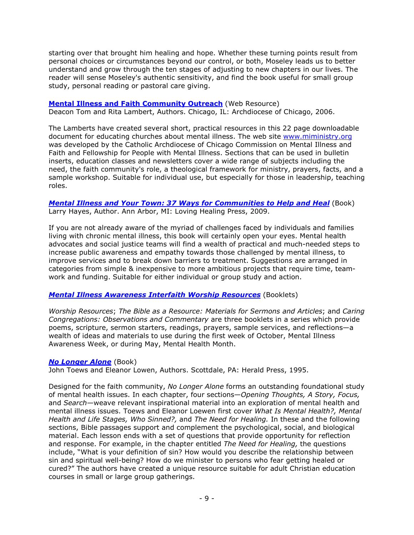starting over that brought him healing and hope. Whether these turning points result from personal choices or circumstances beyond our control, or both, Moseley leads us to better understand and grow through the ten stages of adjusting to new chapters in our lives. The reader will sense Moseley's authentic sensitivity, and find the book useful for small group study, personal reading or pastoral care giving.

#### **[Mental Illness and Faith Community Outreach](http://www.nami.org/MSTemplate.cfm?Section=Mental_Illness_and_Faith_Community_Outreach&Site=FaithNet_NAMI&Template=/ContentManagement/ContentDisplay.cfm&ContentID=48013)** (Web Resource)

Deacon Tom and Rita Lambert, Authors. Chicago, IL: Archdiocese of Chicago, 2006.

The Lamberts have created several short, practical resources in this 22 page downloadable document for educating churches about mental illness. The web site [www.miministry.org](http://www.miministry.org/) was developed by the Catholic Archdiocese of Chicago Commission on Mental Illness and Faith and Fellowship for People with Mental Illness. Sections that can be used in bulletin inserts, education classes and newsletters cover a wide range of subjects including the need, the faith community's role, a theological framework for ministry, prayers, facts, and a sample workshop. Suitable for individual use, but especially for those in leadership, teaching roles.

#### *[Mental Illness and Your Town: 37 Ways for Communities to Help and Heal](http://www.amazon.com/dp/193269076X)* (Book) Larry Hayes, Author. Ann Arbor, MI: Loving Healing Press, 2009.

If you are not already aware of the myriad of challenges faced by individuals and families living with chronic mental illness, this book will certainly open your eyes. Mental health advocates and social justice teams will find a wealth of practical and much-needed steps to increase public awareness and empathy towards those challenged by mental illness, to improve services and to break down barriers to treatment. Suggestions are arranged in categories from simple & inexpensive to more ambitious projects that require time, teamwork and funding. Suitable for either individual or group study and action.

#### *[Mental Illness Awareness Interfaith Worship Resources](http://www.pathways2promise.org/resources/ptpmatls.htm#mia)* (Booklets)

*Worship Resources*; *The Bible as a Resource: Materials for Sermons and Articles*; and *Caring Congregations: Observations and Commentary* are three booklets in a series which provide poems, scripture, sermon starters, readings, prayers, sample services, and reflections—a wealth of ideas and materials to use during the first week of October, Mental Illness Awareness Week, or during May, Mental Health Month.

#### *[No Longer Alone](http://www.amazon.com/dp/0836190106)* (Book)

John Toews and Eleanor Lowen, Authors. Scottdale, PA: Herald Press, 1995.

Designed for the faith community, *No Longer Alone* forms an outstanding foundational study of mental health issues. In each chapter, four sections—*Opening Thoughts, A Story, Focus,* and *Search*—weave relevant inspirational material into an exploration of mental health and mental illness issues. Toews and Eleanor Loewen first cover *What Is Mental Health?, Mental Health and Life Stages, Who Sinned?,* and *The Need for Healing.* In these and the following sections, Bible passages support and complement the psychological, social, and biological material. Each lesson ends with a set of questions that provide opportunity for reflection and response. For example, in the chapter entitled *The Need for Healing,* the questions include, "What is your definition of sin? How would you describe the relationship between sin and spiritual well-being? How do we minister to persons who fear getting healed or cured?" The authors have created a unique resource suitable for adult Christian education courses in small or large group gatherings.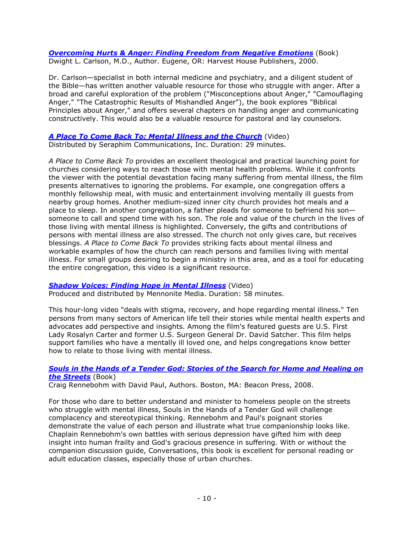#### *[Overcoming Hurts & Anger: Finding Freedom from Negative Emotions](http://www.amazon.com/dp/0736901965)* (Book) Dwight L. Carlson, M.D., Author. Eugene, OR: Harvest House Publishers, 2000.

Dr. Carlson—specialist in both internal medicine and psychiatry, and a diligent student of the Bible—has written another valuable resource for those who struggle with anger. After a broad and careful exploration of the problem ("Misconceptions about Anger," "Camouflaging Anger," "The Catastrophic Results of Mishandled Anger"), the book explores "Biblical Principles about Anger," and offers several chapters on handling anger and communicating constructively. This would also be a valuable resource for pastoral and lay counselors.

### *[A Place To Come Back To: Mental Illness and the Church](http://store.seracomm.com/index.php?main_page=product_info&products_id=4)* (Video)

Distributed by Seraphim Communications, Inc. Duration: 29 minutes.

*A Place to Come Back To* provides an excellent theological and practical launching point for churches considering ways to reach those with mental health problems. While it confronts the viewer with the potential devastation facing many suffering from mental illness, the film presents alternatives to ignoring the problems. For example, one congregation offers a monthly fellowship meal, with music and entertainment involving mentally ill guests from nearby group homes. Another medium-sized inner city church provides hot meals and a place to sleep. In another congregation, a father pleads for someone to befriend his son someone to call and spend time with his son. The role and value of the church in the lives of those living with mental illness is highlighted. Conversely, the gifts and contributions of persons with mental illness are also stressed. The church not only gives care, but receives blessings. *A Place to Come Back To* provides striking facts about mental illness and workable examples of how the church can reach persons and families living with mental illness. For small groups desiring to begin a ministry in this area, and as a tool for educating the entire congregation, this video is a significant resource.

#### *[Shadow Voices: Finding Hope in Mental Illness](http://www.shadowvoices.com/)* (Video)

Produced and distributed by Mennonite Media. Duration: 58 minutes.

This hour-long video "deals with stigma, recovery, and hope regarding mental illness." Ten persons from many sectors of American life tell their stories while mental health experts and advocates add perspective and insights. Among the film's featured guests are U.S. First Lady Rosalyn Carter and former U.S. Surgeon General Dr. David Satcher. This film helps support families who have a mentally ill loved one, and helps congregations know better how to relate to those living with mental illness.

#### *[Souls in the Hands of a Tender God: Stories of the Search for Home and Healing on](http://www.amazon.com/dp/0807000426)  [the Streets](http://www.amazon.com/dp/0807000426)* (Book)

Craig Rennebohm with David Paul, Authors. Boston, MA: Beacon Press, 2008.

For those who dare to better understand and minister to homeless people on the streets who struggle with mental illness, Souls in the Hands of a Tender God will challenge complacency and stereotypical thinking. Rennebohm and Paul's poignant stories demonstrate the value of each person and illustrate what true companionship looks like. Chaplain Rennebohm's own battles with serious depression have gifted him with deep insight into human frailty and God's gracious presence in suffering. With or without the companion discussion guide, Conversations, this book is excellent for personal reading or adult education classes, especially those of urban churches.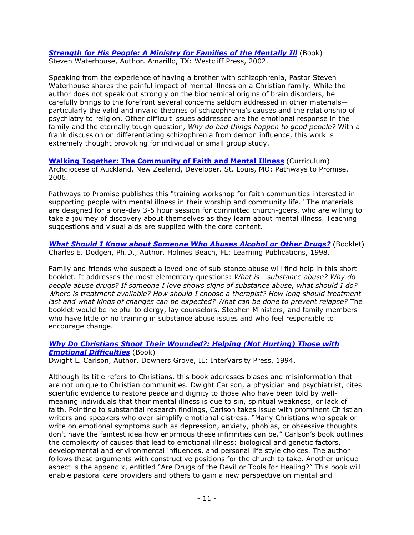**[Strength for His People: A Ministry for Families of the Mentally Ill](http://www.amazon.com/dp/0970241836) (Book)** Steven Waterhouse, Author. Amarillo, TX: Westcliff Press, 2002.

Speaking from the experience of having a brother with schizophrenia, Pastor Steven Waterhouse shares the painful impact of mental illness on a Christian family. While the author does not speak out strongly on the biochemical origins of brain disorders, he carefully brings to the forefront several concerns seldom addressed in other materials particularly the valid and invalid theories of schizophrenia's causes and the relationship of psychiatry to religion. Other difficult issues addressed are the emotional response in the family and the eternally tough question, *Why do bad things happen to good people?* With a frank discussion on differentiating schizophrenia from demon influence, this work is extremely thought provoking for individual or small group study.

**[Walking Together: The Community of Faith and Mental Illness](http://www.pathways2promise.org/resources/ptpmatls.htm#walking)** (Curriculum) Archdiocese of Auckland, New Zealand, Developer. St. Louis, MO: Pathways to Promise, 2006.

Pathways to Promise publishes this "training workshop for faith communities interested in supporting people with mental illness in their worship and community life." The materials are designed for a one-day 3-5 hour session for committed church-goers, who are willing to take a journey of discovery about themselves as they learn about mental illness. Teaching suggestions and visual aids are supplied with the core content.

*[What Should I Know about Someone Who Abuses Alcohol or Other Drugs?](http://www.amazon.com/dp/1556911157)* (Booklet) Charles E. Dodgen, Ph.D., Author. Holmes Beach, FL: Learning Publications, 1998.

Family and friends who suspect a loved one of sub-stance abuse will find help in this short booklet. It addresses the most elementary questions: *What is …substance abuse? Why do people abuse drugs? If someone I love shows signs of substance abuse, what should I do? Where is treatment available? How should I choose a therapist? How long should treatment last and what kinds of changes can be expected? What can be done to prevent relapse?* The booklet would be helpful to clergy, lay counselors, Stephen Ministers, and family members who have little or no training in substance abuse issues and who feel responsible to encourage change.

### *Why Do Christians Shoot Their [Wounded?: Helping \(Not Hurting\) Those with](http://www.amazon.com/dp/0830816666)  [Emotional Difficulties](http://www.amazon.com/dp/0830816666)* (Book)

Dwight L. Carlson, Author. Downers Grove, IL: InterVarsity Press, 1994.

Although its title refers to Christians, this book addresses biases and misinformation that are not unique to Christian communities. Dwight Carlson, a physician and psychiatrist, cites scientific evidence to restore peace and dignity to those who have been told by wellmeaning individuals that their mental illness is due to sin, spiritual weakness, or lack of faith. Pointing to substantial research findings, Carlson takes issue with prominent Christian writers and speakers who over-simplify emotional distress. "Many Christians who speak or write on emotional symptoms such as depression, anxiety, phobias, or obsessive thoughts don't have the faintest idea how enormous these infirmities can be." Carlson's book outlines the complexity of causes that lead to emotional illness: biological and genetic factors, developmental and environmental influences, and personal life style choices. The author follows these arguments with constructive positions for the church to take. Another unique aspect is the appendix, entitled "Are Drugs of the Devil or Tools for Healing?" This book will enable pastoral care providers and others to gain a new perspective on mental and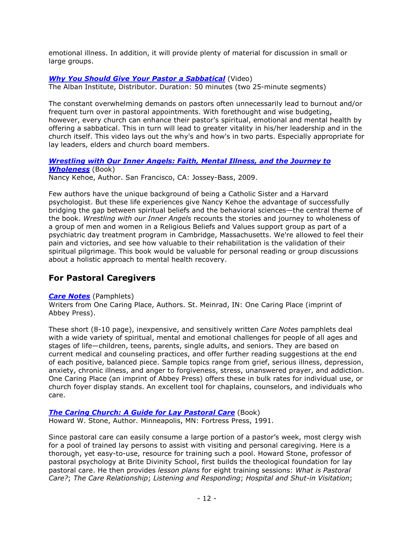emotional illness. In addition, it will provide plenty of material for discussion in small or large groups.

### *[Why You Should Give Your Pastor a Sabbatical](http://www.alban.org/bookdetails.aspx?id=1270)* (Video)

The Alban Institute, Distributor. Duration: 50 minutes (two 25-minute segments)

The constant overwhelming demands on pastors often unnecessarily lead to burnout and/or frequent turn over in pastoral appointments. With forethought and wise budgeting, however, every church can enhance their pastor's spiritual, emotional and mental health by offering a sabbatical. This in turn will lead to greater vitality in his/her leadership and in the church itself. This video lays out the why's and how's in two parts. Especially appropriate for lay leaders, elders and church board members.

*[Wrestling with Our Inner Angels: Faith, Mental Illness, and the Journey to](http://www.amazon.com/dp/0470455411)  [Wholeness](http://www.amazon.com/dp/0470455411)* (Book) Nancy Kehoe, Author. San Francisco, CA: Jossey-Bass, 2009.

Few authors have the unique background of being a Catholic Sister and a Harvard psychologist. But these life experiences give Nancy Kehoe the advantage of successfully bridging the gap between spiritual beliefs and the behavioral sciences—the central theme of the book. *Wrestling with our Inner Angels* recounts the stories and journey to wholeness of a group of men and women in a Religious Beliefs and Values support group as part of a psychiatric day treatment program in Cambridge, Massachusetts. We're allowed to feel their pain and victories, and see how valuable to their rehabilitation is the validation of their spiritual pilgrimage. This book would be valuable for personal reading or group discussions about a holistic approach to mental health recovery.

# <span id="page-11-0"></span>**For Pastoral Caregivers**

#### *[Care Notes](http://www.onecaringplace.com/hindex.asp?CatID=1&uid=118602595&main=gateway%2FCategoryMain%2Easp%3Fuid%3D118602595%26CatID%3D1)* (Pamphlets)

Writers from One Caring Place, Authors. St. Meinrad, IN: One Caring Place (imprint of Abbey Press).

These short (8-10 page), inexpensive, and sensitively written *Care Notes* pamphlets deal with a wide variety of spiritual, mental and emotional challenges for people of all ages and stages of life—children, teens, parents, single adults, and seniors. They are based on current medical and counseling practices, and offer further reading suggestions at the end of each positive, balanced piece. Sample topics range from grief, serious illness, depression, anxiety, chronic illness, and anger to forgiveness, stress, unanswered prayer, and addiction. One Caring Place (an imprint of Abbey Press) offers these in bulk rates for individual use, or church foyer display stands. An excellent tool for chaplains, counselors, and individuals who care.

# **[The Caring Church: A Guide for Lay Pastoral Care](http://www.amazon.com/dp/0800626184)** (Book)

Howard W. Stone, Author. Minneapolis, MN: Fortress Press, 1991.

Since pastoral care can easily consume a large portion of a pastor's week, most clergy wish for a pool of trained lay persons to assist with visiting and personal caregiving. Here is a thorough, yet easy-to-use, resource for training such a pool. Howard Stone, professor of pastoral psychology at Brite Divinity School, first builds the theological foundation for lay pastoral care. He then provides *lesson plans* for eight training sessions: *What is Pastoral Care?*; *The Care Relationship*; *Listening and Responding*; *Hospital and Shut-in Visitation*;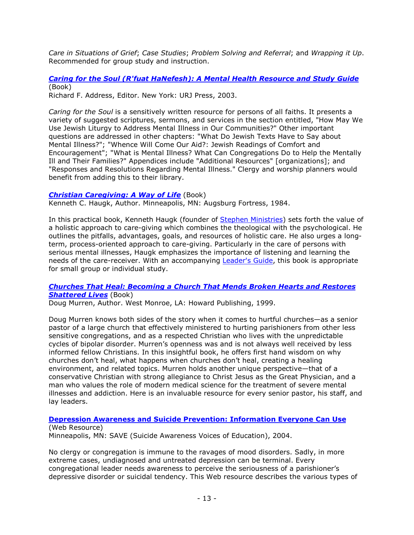*Care in Situations of Grief*; *Case Studies*; *Problem Solving and Referral*; and *Wrapping it Up*. Recommended for group study and instruction.

*Caring for the Soul [\(R'fuat HaNefesh\): A Mental Health Resource and Study Guide](http://www.amazon.com/dp/0807408867)* (Book)

Richard F. Address, Editor. New York: URJ Press, 2003.

*Caring for the Soul* is a sensitively written resource for persons of all faiths. It presents a variety of suggested scriptures, sermons, and services in the section entitled, "How May We Use Jewish Liturgy to Address Mental Illness in Our Communities?" Other important questions are addressed in other chapters: "What Do Jewish Texts Have to Say about Mental Illness?"; "Whence Will Come Our Aid?: Jewish Readings of Comfort and Encouragement"; "What is Mental Illness? What Can Congregations Do to Help the Mentally Ill and Their Families?" Appendices include "Additional Resources" [organizations]; and "Responses and Resolutions Regarding Mental Illness." Clergy and worship planners would benefit from adding this to their library.

#### *[Christian Caregiving: A Way of Life](http://www.amazon.com/dp/0806621230)* (Book)

Kenneth C. Haugk, Author. Minneapolis, MN: Augsburg Fortress, 1984.

In this practical book, Kenneth Haugk (founder of [Stephen Ministries\)](http://www.stephenministries.org/) sets forth the value of a holistic approach to care-giving which combines the theological with the psychological. He outlines the pitfalls, advantages, goals, and resources of holistic care. He also urges a longterm, process-oriented approach to care-giving. Particularly in the care of persons with serious mental illnesses, Haugk emphasizes the importance of listening and learning the needs of the care-receiver. With an accompanying [Leader's Guide,](http://www.amazon.com/dp/0806627042) this book is appropriate for small group or individual study.

#### *[Churches That Heal: Becoming a Church That Mends Broken Hearts and Restores](http://www.amazon.com/dp/1582293015)  [Shattered Lives](http://www.amazon.com/dp/1582293015)* (Book)

Doug Murren, Author. West Monroe, LA: Howard Publishing, 1999.

Doug Murren knows both sides of the story when it comes to hurtful churches—as a senior pastor of a large church that effectively ministered to hurting parishioners from other less sensitive congregations, and as a respected Christian who lives with the unpredictable cycles of bipolar disorder. Murren's openness was and is not always well received by less informed fellow Christians. In this insightful book, he offers first hand wisdom on why churches don't heal, what happens when churches don't heal, creating a healing environment, and related topics. Murren holds another unique perspective—that of a conservative Christian with strong allegiance to Christ Jesus as the Great Physician, and a man who values the role of modern medical science for the treatment of severe mental illnesses and addiction. Here is an invaluable resource for every senior pastor, his staff, and lay leaders.

#### **[Depression Awareness and Suicide Prevention: Information Everyone Can Use](http://www.save.org/index.cfm?fuseaction=home.viewPage&page_id=FDF9AFE8-E081-2F43-D4AE62DE644D1B1F)** (Web Resource)

Minneapolis, MN: SAVE (Suicide Awareness Voices of Education), 2004.

No clergy or congregation is immune to the ravages of mood disorders. Sadly, in more extreme cases, undiagnosed and untreated depression can be terminal. Every congregational leader needs awareness to perceive the seriousness of a parishioner's depressive disorder or suicidal tendency. This Web resource describes the various types of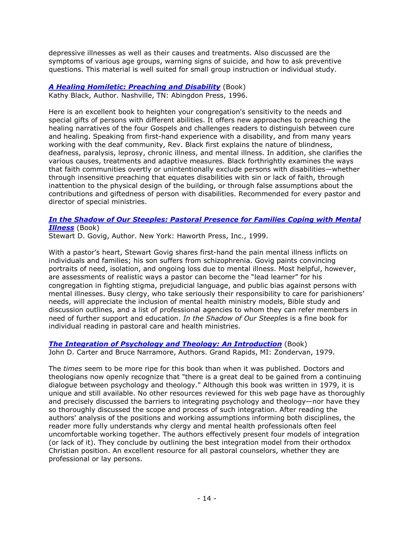depressive illnesses as well as their causes and treatments. Also discussed are the symptoms of various age groups, warning signs of suicide, and how to ask preventive questions. This material is well suited for small group instruction or individual study.

*[A Healing Homiletic: Preaching and Disability](http://www.amazon.com/dp/0687002915)* (Book) Kathy Black, Author. Nashville, TN: Abingdon Press, 1996.

Here is an excellent book to heighten your congregation's sensitivity to the needs and special gifts of persons with different abilities. It offers new approaches to preaching the healing narratives of the four Gospels and challenges readers to distinguish between cure and healing. Speaking from first-hand experience with a disability, and from many years working with the deaf community, Rev. Black first explains the nature of blindness, deafness, paralysis, leprosy, chronic illness, and mental illness. In addition, she clarifies the various causes, treatments and adaptive measures. Black forthrightly examines the ways that faith communities overtly or unintentionally exclude persons with disabilities—whether through insensitive preaching that equates disabilities with sin or lack of faith, through inattention to the physical design of the building, or through false assumptions about the contributions and giftedness of person with disabilities. Recommended for every pastor and director of special ministries.

#### *[In the Shadow of Our Steeples: Pastoral Presence for Families Coping with Mental](http://www.amazon.com/dp/0789006200)  [Illness](http://www.amazon.com/dp/0789006200)* (Book)

Stewart D. Govig, Author. New York: Haworth Press, Inc., 1999.

With a pastor's heart, Stewart Govig shares first-hand the pain mental illness inflicts on individuals and families; his son suffers from schizophrenia. Govig paints convincing portraits of need, isolation, and ongoing loss due to mental illness. Most helpful, however, are assessments of realistic ways a pastor can become the "lead learner" for his congregation in fighting stigma, prejudicial language, and public bias against persons with mental illnesses. Busy clergy, who take seriously their responsibility to care for parishioners' needs, will appreciate the inclusion of mental health ministry models, Bible study and discussion outlines, and a list of professional agencies to whom they can refer members in need of further support and education. *In the Shadow of Our Steeples* is a fine book for individual reading in pastoral care and health ministries.

*[The Integration of Psychology and Theology: An Introduction](http://www.amazon.com/dp/0310303419)* (Book) John D. Carter and Bruce Narramore, Authors. Grand Rapids, MI: Zondervan, 1979.

The *times* seem to be more ripe for this book than when it was published. Doctors and theologians now openly recognize that "there is a great deal to be gained from a continuing dialogue between psychology and theology." Although this book was written in 1979, it is unique and still available. No other resources reviewed for this web page have as thoroughly and precisely discussed the barriers to integrating psychology and theology—nor have they so thoroughly discussed the scope and process of such integration. After reading the authors' analysis of the positions and working assumptions informing both disciplines, the reader more fully understands why clergy and mental health professionals often feel uncomfortable working together. The authors effectively present four models of integration (or lack of it). They conclude by outlining the best integration model from their orthodox Christian position. An excellent resource for all pastoral counselors, whether they are professional or lay persons.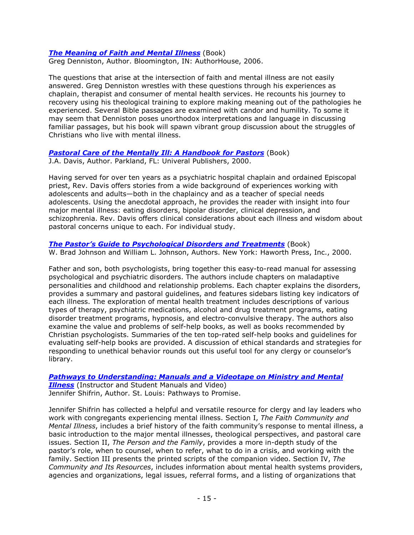#### *[The Meaning of Faith and Mental Illness](http://www.amazon.com/dp/1425900097)* (Book)

Greg Denniston, Author. Bloomington, IN: AuthorHouse, 2006.

The questions that arise at the intersection of faith and mental illness are not easily answered. Greg Denniston wrestles with these questions through his experiences as chaplain, therapist and consumer of mental health services. He recounts his journey to recovery using his theological training to explore making meaning out of the pathologies he experienced. Several Bible passages are examined with candor and humility. To some it may seem that Denniston poses unorthodox interpretations and language in discussing familiar passages, but his book will spawn vibrant group discussion about the struggles of Christians who live with mental illness.

#### **Pastoral Care of the Mentally III: A Handbook for Pastors** (Book)

J.A. Davis, Author. Parkland, FL: Univeral Publishers, 2000.

Having served for over ten years as a psychiatric hospital chaplain and ordained Episcopal priest, Rev. Davis offers stories from a wide background of experiences working with adolescents and adults—both in the chaplaincy and as a teacher of special needs adolescents. Using the anecdotal approach, he provides the reader with insight into four major mental illness: eating disorders, bipolar disorder, clinical depression, and schizophrenia. Rev. Davis offers clinical considerations about each illness and wisdom about pastoral concerns unique to each. For individual study.

*[The Pastor's Guide to Psychological Disorders and Treatments](http://www.amazon.com/dp/0789007126)* (Book) W. Brad Johnson and William L. Johnson, Authors. New York: Haworth Press, Inc., 2000.

Father and son, both psychologists, bring together this easy-to-read manual for assessing psychological and psychiatric disorders. The authors include chapters on maladaptive personalities and childhood and relationship problems. Each chapter explains the disorders, provides a summary and pastoral guidelines, and features sidebars listing key indicators of each illness. The exploration of mental health treatment includes descriptions of various types of therapy, psychiatric medications, alcohol and drug treatment programs, eating disorder treatment programs, hypnosis, and electro-convulsive therapy. The authors also examine the value and problems of self-help books, as well as books recommended by Christian psychologists. Summaries of the ten top-rated self-help books and guidelines for evaluating self-help books are provided. A discussion of ethical standards and strategies for responding to unethical behavior rounds out this useful tool for any clergy or counselor's library.

#### *[Pathways to Understanding: Manuals and a Videotape on Ministry and Mental](http://www.pathways2promise.org/resources/ptpmatls.htm#ptu)*

*[Illness](http://www.pathways2promise.org/resources/ptpmatls.htm#ptu)* (Instructor and Student Manuals and Video) Jennifer Shifrin, Author. St. Louis: Pathways to Promise.

Jennifer Shifrin has collected a helpful and versatile resource for clergy and lay leaders who work with congregants experiencing mental illness. Section I, *The Faith Community and Mental Illness*, includes a brief history of the faith community's response to mental illness, a basic introduction to the major mental illnesses, theological perspectives, and pastoral care issues. Section II, *The Person and the Family*, provides a more in-depth study of the pastor's role, when to counsel, when to refer, what to do in a crisis, and working with the family. Section III presents the printed scripts of the companion video. Section IV, *The Community and Its Resources*, includes information about mental health systems providers, agencies and organizations, legal issues, referral forms, and a listing of organizations that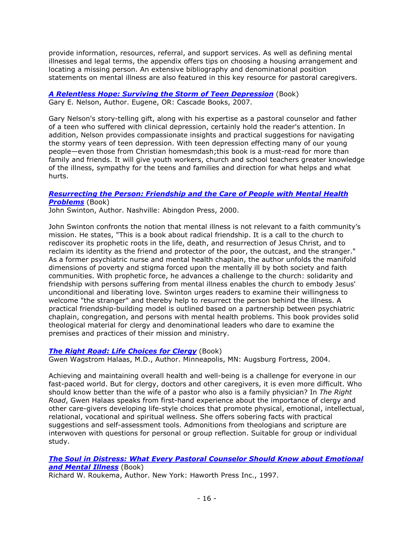provide information, resources, referral, and support services. As well as defining mental illnesses and legal terms, the appendix offers tips on choosing a housing arrangement and locating a missing person. An extensive bibliography and denominational position statements on mental illness are also featured in this key resource for pastoral caregivers.

*[A Relentless Hope: Surviving the Storm of Teen Depression](http://www.amazon.com/dp/155635309X)* (Book) Gary E. Nelson, Author. Eugene, OR: Cascade Books, 2007.

Gary Nelson's story-telling gift, along with his expertise as a pastoral counselor and father of a teen who suffered with clinical depression, certainly hold the reader's attention. In addition, Nelson provides compassionate insights and practical suggestions for navigating the stormy years of teen depression. With teen depression effecting many of our young people—even those from Christian homesmdash;this book is a must-read for more than family and friends. It will give youth workers, church and school teachers greater knowledge of the illness, sympathy for the teens and families and direction for what helps and what hurts.

#### *[Resurrecting the Person: Friendship and the Care of People with Mental Health](http://www.amazon.com/dp/0687082285)  [Problems](http://www.amazon.com/dp/0687082285)* (Book)

John Swinton, Author. Nashville: Abingdon Press, 2000.

John Swinton confronts the notion that mental illness is not relevant to a faith community's mission. He states, "This is a book about radical friendship. It is a call to the church to rediscover its prophetic roots in the life, death, and resurrection of Jesus Christ, and to reclaim its identity as the friend and protector of the poor, the outcast, and the stranger." As a former psychiatric nurse and mental health chaplain, the author unfolds the manifold dimensions of poverty and stigma forced upon the mentally ill by both society and faith communities. With prophetic force, he advances a challenge to the church: solidarity and friendship with persons suffering from mental illness enables the church to embody Jesus' unconditional and liberating love. Swinton urges readers to examine their willingness to welcome "the stranger" and thereby help to resurrect the person behind the illness. A practical friendship-building model is outlined based on a partnership between psychiatric chaplain, congregation, and persons with mental health problems. This book provides solid theological material for clergy and denominational leaders who dare to examine the premises and practices of their mission and ministry.

#### *[The Right Road: Life Choices for Clergy](http://www.amazon.com/dp/0800636570)* (Book)

Gwen Wagstrom Halaas, M.D., Author. Minneapolis, MN: Augsburg Fortress, 2004.

Achieving and maintaining overall health and well-being is a challenge for everyone in our fast-paced world. But for clergy, doctors and other caregivers, it is even more difficult. Who should know better than the wife of a pastor who also is a family physician? In *The Right Road*, Gwen Halaas speaks from first-hand experience about the importance of clergy and other care-givers developing life-style choices that promote physical, emotional, intellectual, relational, vocational and spiritual wellness. She offers sobering facts with practical suggestions and self-assessment tools. Admonitions from theologians and scripture are interwoven with questions for personal or group reflection. Suitable for group or individual study.

#### *[The Soul in Distress: What Every Pastoral Counselor Should Know about Emotional](http://www.amazon.com/dp/0789001985)  [and Mental Illness](http://www.amazon.com/dp/0789001985)* (Book)

Richard W. Roukema, Author. New York: Haworth Press Inc., 1997.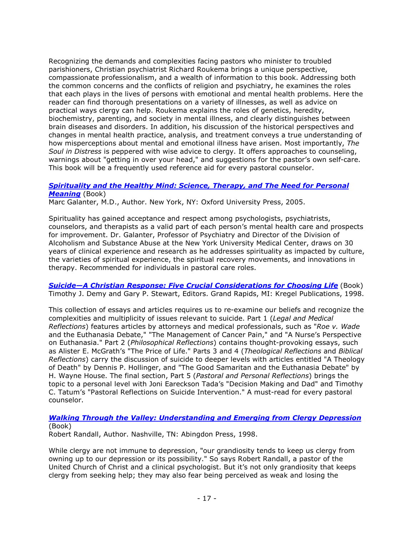Recognizing the demands and complexities facing pastors who minister to troubled parishioners, Christian psychiatrist Richard Roukema brings a unique perspective, compassionate professionalism, and a wealth of information to this book. Addressing both the common concerns and the conflicts of religion and psychiatry, he examines the roles that each plays in the lives of persons with emotional and mental health problems. Here the reader can find thorough presentations on a variety of illnesses, as well as advice on practical ways clergy can help. Roukema explains the roles of genetics, heredity, biochemistry, parenting, and society in mental illness, and clearly distinguishes between brain diseases and disorders. In addition, his discussion of the historical perspectives and changes in mental health practice, analysis, and treatment conveys a true understanding of how misperceptions about mental and emotional illness have arisen. Most importantly, *The Soul in Distress* is peppered with wise advice to clergy. It offers approaches to counseling, warnings about "getting in over your head," and suggestions for the pastor's own self-care. This book will be a frequently used reference aid for every pastoral counselor.

#### *[Spirituality and the Healthy Mind: Science, Therapy, and The Need for Personal](http://www.amazon.com/dp/0195176693)  [Meaning](http://www.amazon.com/dp/0195176693)* (Book)

Marc Galanter, M.D., Author. New York, NY: Oxford University Press, 2005.

Spirituality has gained acceptance and respect among psychologists, psychiatrists, counselors, and therapists as a valid part of each person's mental health care and prospects for improvement. Dr. Galanter, Professor of Psychiatry and Director of the Division of Alcoholism and Substance Abuse at the New York University Medical Center, draws on 30 years of clinical experience and research as he addresses spirituality as impacted by culture, the varieties of spiritual experience, the spiritual recovery movements, and innovations in therapy. Recommended for individuals in pastoral care roles.

*[Suicide—A Christian Response: Five Crucial Considerations for Choosing Life](http://www.amazon.com/dp/0825423554)* (Book) Timothy J. Demy and Gary P. Stewart, Editors. Grand Rapids, MI: Kregel Publications, 1998.

This collection of essays and articles requires us to re-examine our beliefs and recognize the complexities and multiplicity of issues relevant to suicide. Part 1 (*Legal and Medical Reflections*) features articles by attorneys and medical professionals, such as "*Roe v. Wade* and the Euthanasia Debate," "The Management of Cancer Pain," and "A Nurse's Perspective on Euthanasia." Part 2 (*Philosophical Reflections*) contains thought-provoking essays, such as Alister E. McGrath's "The Price of Life." Parts 3 and 4 (*Theological Reflections* and *Biblical Reflections*) carry the discussion of suicide to deeper levels with articles entitled "A Theology of Death" by Dennis P. Hollinger, and "The Good Samaritan and the Euthanasia Debate" by H. Wayne House. The final section, Part 5 (*Pastoral and Personal Reflections*) brings the topic to a personal level with Joni Eareckson Tada's "Decision Making and Dad" and Timothy C. Tatum's "Pastoral Reflections on Suicide Intervention." A must-read for every pastoral counselor.

# *[Walking Through the Valley: Understanding and Emerging from Clergy Depression](http://www.amazon.com/dp/0687014638)* (Book)

Robert Randall, Author. Nashville, TN: Abingdon Press, 1998.

While clergy are not immune to depression, "our grandiosity tends to keep us clergy from owning up to our depression or its possibility." So says Robert Randall, a pastor of the United Church of Christ and a clinical psychologist. But it's not only grandiosity that keeps clergy from seeking help; they may also fear being perceived as weak and losing the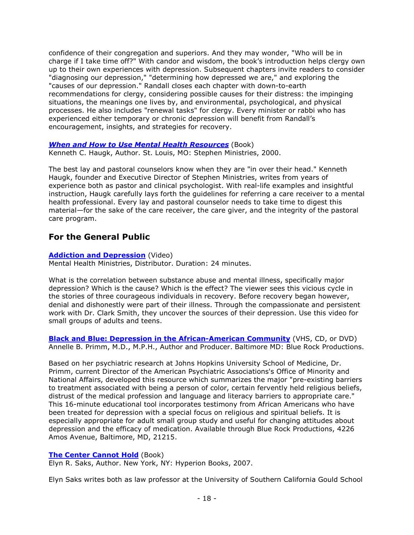confidence of their congregation and superiors. And they may wonder, "Who will be in charge if I take time off?" With candor and wisdom, the book's introduction helps clergy own up to their own experiences with depression. Subsequent chapters invite readers to consider "diagnosing our depression," "determining how depressed we are," and exploring the "causes of our depression." Randall closes each chapter with down-to-earth recommendations for clergy, considering possible causes for their distress: the impinging situations, the meanings one lives by, and environmental, psychological, and physical processes. He also includes "renewal tasks" for clergy. Every minister or rabbi who has experienced either temporary or chronic depression will benefit from Randall's encouragement, insights, and strategies for recovery.

### *[When and How to Use Mental Health Resources](http://www.stephenministries.org/On_line_store/viewitem.cfm?View=1,10&ItemID=40&Search=When%20and%20How%20to%20Use)* (Book)

Kenneth C. Haugk, Author. St. Louis, MO: Stephen Ministries, 2000.

The best lay and pastoral counselors know when they are "in over their head." Kenneth Haugk, founder and Executive Director of Stephen Ministries, writes from years of experience both as pastor and clinical psychologist. With real-life examples and insightful instruction, Haugk carefully lays forth the guidelines for referring a care receiver to a mental health professional. Every lay and pastoral counselor needs to take time to digest this material—for the sake of the care receiver, the care giver, and the integrity of the pastoral care program.

# <span id="page-17-0"></span>**For the General Public**

#### **[Addiction and Depression](http://www.mentalhealthministries.net/mhm_resources/vhs_resources/addiction.html)** (Video)

Mental Health Ministries, Distributor. Duration: 24 minutes.

What is the correlation between substance abuse and mental illness, specifically major depression? Which is the cause? Which is the effect? The viewer sees this vicious cycle in the stories of three courageous individuals in recovery. Before recovery began however, denial and dishonestly were part of their illness. Through the compassionate and persistent work with Dr. Clark Smith, they uncover the sources of their depression. Use this video for small groups of adults and teens.

**[Black and Blue: Depression in the African-American Community](http://www.bluerockproductions.com/v_blackblue.htm)** (VHS, CD, or DVD) Annelle B. Primm, M.D., M.P.H., Author and Producer. Baltimore MD: Blue Rock Productions.

Based on her psychiatric research at Johns Hopkins University School of Medicine, Dr. Primm, current Director of the American Psychiatric Associations's Office of Minority and National Affairs, developed this resource which summarizes the major "pre-existing barriers to treatment associated with being a person of color, certain fervently held religious beliefs, distrust of the medical profession and language and literacy barriers to appropriate care." This 16-minute educational tool incorporates testimony from African Americans who have been treated for depression with a special focus on religious and spiritual beliefs. It is especially appropriate for adult small group study and useful for changing attitudes about depression and the efficacy of medication. Available through Blue Rock Productions, 4226 Amos Avenue, Baltimore, MD, 21215.

#### **[The Center Cannot Hold](http://www.amazon.com/dp/1401309445)** (Book)

Elyn R. Saks, Author. New York, NY: Hyperion Books, 2007.

Elyn Saks writes both as law professor at the University of Southern California Gould School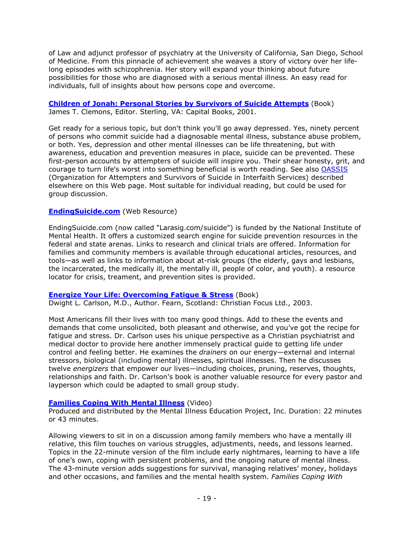of Law and adjunct professor of psychiatry at the University of California, San Diego, School of Medicine. From this pinnacle of achievement she weaves a story of victory over her lifelong episodes with schizophrenia. Her story will expand your thinking about future possibilities for those who are diagnosed with a serious mental illness. An easy read for individuals, full of insights about how persons cope and overcome.

#### **[Children of Jonah: Personal Stories by Survivors of Suicide Attempts](http://www.amazon.com/dp/1892123541)** (Book) James T. Clemons, Editor. Sterling, VA: Capital Books, 2001.

Get ready for a serious topic, but don't think you'll go away depressed. Yes, ninety percent of persons who commit suicide had a diagnosable mental illness, substance abuse problem, or both. Yes, depression and other mental illnesses can be life threatening, but with awareness, education and prevention measures in place, suicide can be prevented. These first-person accounts by attempters of suicide will inspire you. Their shear honesty, grit, and courage to turn life's worst into something beneficial is worth reading. See also [OASSIS](http://www.oassis.org/) (Organization for Attempters and Survivors of Suicide in Interfaith Services) described elsewhere on this Web page. Most suitable for individual reading, but could be used for group discussion.

#### **[EndingSuicide.com](http://www.larasig.com/suicide)** (Web Resource)

EndingSuicide.com (now called "Larasig.com/suicide") is funded by the National Institute of Mental Health. It offers a customized search engine for suicide prevention resources in the federal and state arenas. Links to research and clinical trials are offered. Information for families and community members is available through educational articles, resources, and tools—as well as links to information about at-risk groups (the elderly, gays and lesbians, the incarcerated, the medically ill, the mentally ill, people of color, and youth). a resource locator for crisis, treament, and prevention sites is provided.

#### **[Energize Your Life: Overcoming Fatigue & Stress](http://www.amazon.com/dp/1857928644)** (Book)

Dwight L. Carlson, M.D., Author. Fearn, Scotland: Christian Focus Ltd., 2003.

Most Americans fill their lives with too many good things. Add to these the events and demands that come unsolicited, both pleasant and otherwise, and you've got the recipe for fatigue and stress. Dr. Carlson uses his unique perspective as a Christian psychiatrist and medical doctor to provide here another immensely practical guide to getting life under control and feeling better. He examines the *drainers* on our energy—external and internal stressors, biological (including mental) illnesses, spiritual illnesses. Then he discusses twelve *energizers* that empower our lives—including choices, pruning, reserves, thoughts, relationships and faith. Dr. Carlson's book is another valuable resource for every pastor and layperson which could be adapted to small group study.

#### **[Families Coping With Mental Illness](http://www.miepvideos.org/shop/product12.html)** (Video)

Produced and distributed by the Mental Illness Education Project, Inc. Duration: 22 minutes or 43 minutes.

Allowing viewers to sit in on a discussion among family members who have a mentally ill relative, this film touches on various struggles, adjustments, needs, and lessons learned. Topics in the 22-minute version of the film include early nightmares, learning to have a life of one's own, coping with persistent problems, and the ongoing nature of mental illness. The 43-minute version adds suggestions for survival, managing relatives' money, holidays and other occasions, and families and the mental health system. *Families Coping With*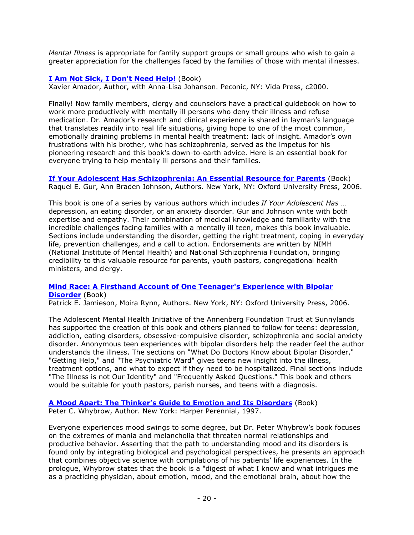*Mental Illness* is appropriate for family support groups or small groups who wish to gain a greater appreciation for the challenges faced by the families of those with mental illnesses.

### **[I Am Not Sick, I Don't Need Help!](http://www.amazon.com/dp/0967718929)** (Book)

Xavier Amador, Author, with Anna-Lisa Johanson. Peconic, NY: Vida Press, c2000.

Finally! Now family members, clergy and counselors have a practical guidebook on how to work more productively with mentally ill persons who deny their illness and refuse medication. Dr. Amador's research and clinical experience is shared in layman's language that translates readily into real life situations, giving hope to one of the most common, emotionally draining problems in mental health treatment: lack of insight. Amador's own frustrations with his brother, who has schizophrenia, served as the impetus for his pioneering research and this book's down-to-earth advice. Here is an essential book for everyone trying to help mentally ill persons and their families.

**[If Your Adolescent Has Schizophrenia: An Essential Resource for Parents](http://www.amazon.com/dp/019518212X)** (Book) Raquel E. Gur, Ann Braden Johnson, Authors. New York, NY: Oxford University Press, 2006.

This book is one of a series by various authors which includes *If Your Adolescent Has* … depression, an eating disorder, or an anxiety disorder. Gur and Johnson write with both expertise and empathy. Their combination of medical knowledge and familiarity with the incredible challenges facing families with a mentally ill teen, makes this book invaluable. Sections include understanding the disorder, getting the right treatment, coping in everyday life, prevention challenges, and a call to action. Endorsements are written by NIMH (National Institute of Mental Health) and National Schizophrenia Foundation, bringing credibility to this valuable resource for parents, youth pastors, congregational health ministers, and clergy.

#### **[Mind Race: A Firsthand Account of One Teenager's Experience with Bipolar](http://www.amazon.com/dp/0195309057)  [Disorder](http://www.amazon.com/dp/0195309057)** (Book)

Patrick E. Jamieson, Moira Rynn, Authors. New York, NY: Oxford University Press, 2006.

The Adolescent Mental Health Initiative of the Annenberg Foundation Trust at Sunnylands has supported the creation of this book and others planned to follow for teens: depression, addiction, eating disorders, obsessive-compulsive disorder, schizophrenia and social anxiety disorder. Anonymous teen experiences with bipolar disorders help the reader feel the author understands the illness. The sections on "What Do Doctors Know about Bipolar Disorder," "Getting Help," and "The Psychiatric Ward" gives teens new insight into the illness, treatment options, and what to expect if they need to be hospitalized. Final sections include "The Illness is not Our Identity" and "Frequently Asked Questions." This book and others would be suitable for youth pastors, parish nurses, and teens with a diagnosis.

**[A Mood Apart: The Thinker's Guide to Emotion and Its Disorders](http://www.amazon.com/dp/006097740X)** (Book) Peter C. Whybrow, Author. New York: Harper Perennial, 1997.

Everyone experiences mood swings to some degree, but Dr. Peter Whybrow's book focuses on the extremes of mania and melancholia that threaten normal relationships and productive behavior. Asserting that the path to understanding mood and its disorders is found only by integrating biological and psychological perspectives, he presents an approach that combines objective science with compilations of his patients' life experiences. In the prologue, Whybrow states that the book is a "digest of what I know and what intrigues me as a practicing physician, about emotion, mood, and the emotional brain, about how the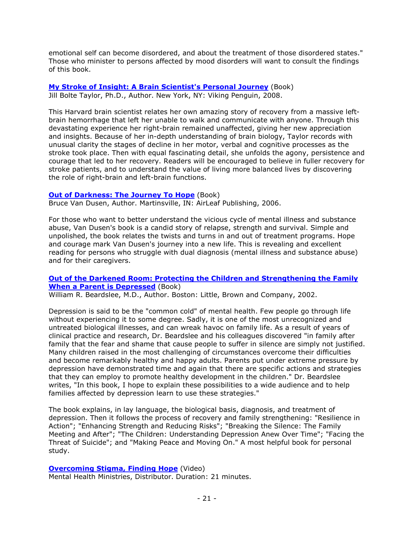emotional self can become disordered, and about the treatment of those disordered states." Those who minister to persons affected by mood disorders will want to consult the findings of this book.

#### **[My Stroke of Insight: A Brain Scientist's Personal Journey](http://www.amazon.com/dp/0452295548)** (Book) Jill Bolte Taylor, Ph.D., Author. New York, NY: Viking Penguin, 2008.

This Harvard brain scientist relates her own amazing story of recovery from a massive leftbrain hemorrhage that left her unable to walk and communicate with anyone. Through this devastating experience her right-brain remained unaffected, giving her new appreciation and insights. Because of her in-depth understanding of brain biology, Taylor records with unusual clarity the stages of decline in her motor, verbal and cognitive processes as the stroke took place. Then with equal fascinating detail, she unfolds the agony, persistence and courage that led to her recovery. Readers will be encouraged to believe in fuller recovery for stroke patients, and to understand the value of living more balanced lives by discovering the role of right-brain and left-brain functions.

#### **[Out of Darkness: The Journey To Hope](http://www.amazon.com/dp/1600021344)** (Book)

Bruce Van Dusen, Author. Martinsville, IN: AirLeaf Publishing, 2006.

For those who want to better understand the vicious cycle of mental illness and substance abuse, Van Dusen's book is a candid story of relapse, strength and survival. Simple and unpolished, the book relates the twists and turns in and out of treatment programs. Hope and courage mark Van Dusen's journey into a new life. This is revealing and excellent reading for persons who struggle with dual diagnosis (mental illness and substance abuse) and for their caregivers.

#### **[Out of the Darkened Room: Protecting the Children and Strengthening the Family](http://www.amazon.com/dp/0316085499)  [When a Parent is Depressed](http://www.amazon.com/dp/0316085499)** (Book)

William R. Beardslee, M.D., Author. Boston: Little, Brown and Company, 2002.

Depression is said to be the "common cold" of mental health. Few people go through life without experiencing it to some degree. Sadly, it is one of the most unrecognized and untreated biological illnesses, and can wreak havoc on family life. As a result of years of clinical practice and research, Dr. Beardslee and his colleagues discovered "in family after family that the fear and shame that cause people to suffer in silence are simply not justified. Many children raised in the most challenging of circumstances overcome their difficulties and become remarkably healthy and happy adults. Parents put under extreme pressure by depression have demonstrated time and again that there are specific actions and strategies that they can employ to promote healthy development in the children." Dr. Beardslee writes, "In this book, I hope to explain these possibilities to a wide audience and to help families affected by depression learn to use these strategies."

The book explains, in lay language, the biological basis, diagnosis, and treatment of depression. Then it follows the process of recovery and family strengthening: "Resilience in Action"; "Enhancing Strength and Reducing Risks"; "Breaking the Silence: The Family Meeting and After"; "The Children: Understanding Depression Anew Over Time"; "Facing the Threat of Suicide"; and "Making Peace and Moving On." A most helpful book for personal study.

#### **[Overcoming Stigma, Finding Hope](http://www.mentalhealthministries.net/mhm_resources/vhs_resources/overcoming_stigma.html)** (Video)

Mental Health Ministries, Distributor. Duration: 21 minutes.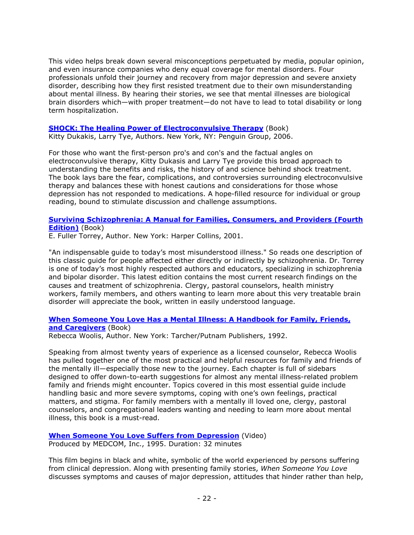This video helps break down several misconceptions perpetuated by media, popular opinion, and even insurance companies who deny equal coverage for mental disorders. Four professionals unfold their journey and recovery from major depression and severe anxiety disorder, describing how they first resisted treatment due to their own misunderstanding about mental illness. By hearing their stories, we see that mental illnesses are biological brain disorders which—with proper treatment—do not have to lead to total disability or long term hospitalization.

#### **[SHOCK: The Healing Power of Electroconvulsive Therapy](http://www.amazon.com/dp/1583332650)** (Book)

Kitty Dukakis, Larry Tye, Authors. New York, NY: Penguin Group, 2006.

For those who want the first-person pro's and con's and the factual angles on electroconvulsive therapy, Kitty Dukasis and Larry Tye provide this broad approach to understanding the benefits and risks, the history of and science behind shock treatment. The book lays bare the fear, complications, and controversies surrounding electroconvulsive therapy and balances these with honest cautions and considerations for those whose depression has not responded to medications. A hope-filled resource for individual or group reading, bound to stimulate discussion and challenge assumptions.

#### **[Surviving Schizophrenia: A Manual for Families, Consumers, and Providers \(Fourth](http://www.amazon.com/dp/0060842598)  [Edition\)](http://www.amazon.com/dp/0060842598)** (Book)

E. Fuller Torrey, Author. New York: Harper Collins, 2001.

"An indispensable guide to today's most misunderstood illness." So reads one description of this classic guide for people affected either directly or indirectly by schizophrenia. Dr. Torrey is one of today's most highly respected authors and educators, specializing in schizophrenia and bipolar disorder. This latest edition contains the most current research findings on the causes and treatment of schizophrenia. Clergy, pastoral counselors, health ministry workers, family members, and others wanting to learn more about this very treatable brain disorder will appreciate the book, written in easily understood language.

#### **When Someone You Love Has a [Mental Illness: A Handbook for Family, Friends,](http://www.amazon.com/dp/0874776953)  and [Caregivers](http://www.amazon.com/dp/0874776953)** (Book)

Rebecca Woolis, Author. New York: Tarcher/Putnam Publishers, 1992.

Speaking from almost twenty years of experience as a licensed counselor, Rebecca Woolis has pulled together one of the most practical and helpful resources for family and friends of the mentally ill—especially those new to the journey. Each chapter is full of sidebars designed to offer down-to-earth suggestions for almost any mental illness-related problem family and friends might encounter. Topics covered in this most essential guide include handling basic and more severe symptoms, coping with one's own feelings, practical matters, and stigma. For family members with a mentally ill loved one, clergy, pastoral counselors, and congregational leaders wanting and needing to learn more about mental illness, this book is a must-read.

#### **[When Someone You Love Suffers from Depression](http://www.medcomrn.com/index.php?a=product/detailbase&basecode=M163)** (Video) Produced by MEDCOM, Inc., 1995. Duration: 32 minutes

This film begins in black and white, symbolic of the world experienced by persons suffering from clinical depression. Along with presenting family stories, *When Someone You Love* discusses symptoms and causes of major depression, attitudes that hinder rather than help,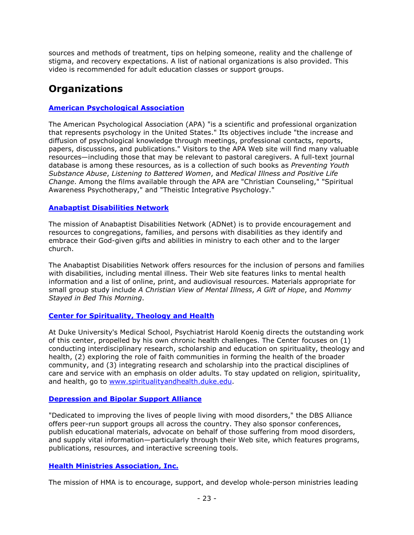sources and methods of treatment, tips on helping someone, reality and the challenge of stigma, and recovery expectations. A list of national organizations is also provided. This video is recommended for adult education classes or support groups.

# <span id="page-22-0"></span>**Organizations**

# **[American Psychological Association](http://www.apa.org/)**

The American Psychological Association (APA) "is a scientific and professional organization that represents psychology in the United States." Its objectives include "the increase and diffusion of psychological knowledge through meetings, professional contacts, reports, papers, discussions, and publications." Visitors to the APA Web site will find many valuable resources—including those that may be relevant to pastoral caregivers. A full-text journal database is among these resources, as is a collection of such books as *Preventing Youth Substance Abuse*, *Listening to Battered Women*, and *Medical Illness and Positive Life Change*. Among the films available through the APA are "Christian Counseling," "Spiritual Awareness Psychotherapy," and "Theistic Integrative Psychology."

### **[Anabaptist Disabilities Network](http://www.adnetonline.org/)**

The mission of Anabaptist Disabilities Network (ADNet) is to provide encouragement and resources to congregations, families, and persons with disabilities as they identify and embrace their God-given gifts and abilities in ministry to each other and to the larger church.

The Anabaptist Disabilities Network offers resources for the inclusion of persons and families with disabilities, including mental illness. Their Web site features links to mental health information and a list of online, print, and audiovisual resources. Materials appropriate for small group study include *A Christian View of Mental Illness*, *A Gift of Hope*, and *Mommy Stayed in Bed This Morning*.

# **[Center for Spirituality, Theology and Health](http://www.spiritualityandhealth.duke.edu/index.html)**

At Duke University's Medical School, Psychiatrist Harold Koenig directs the outstanding work of this center, propelled by his own chronic health challenges. The Center focuses on (1) conducting interdisciplinary research, scholarship and education on spirituality, theology and health, (2) exploring the role of faith communities in forming the health of the broader community, and (3) integrating research and scholarship into the practical disciplines of care and service with an emphasis on older adults. To stay updated on religion, spirituality, and health, go to [www.spiritualityandhealth.duke.edu.](http://www.spiritualityandhealth.duke.edu/)

#### **[Depression and Bipolar Support Alliance](http://www.dbsalliance.org/)**

"Dedicated to improving the lives of people living with mood disorders," the DBS Alliance offers peer-run support groups all across the country. They also sponsor conferences, publish educational materials, advocate on behalf of those suffering from mood disorders, and supply vital information—particularly through their Web site, which features programs, publications, resources, and interactive screening tools.

# **[Health Ministries Association, Inc.](http://www.hmassoc.org/)**

The mission of HMA is to encourage, support, and develop whole-person ministries leading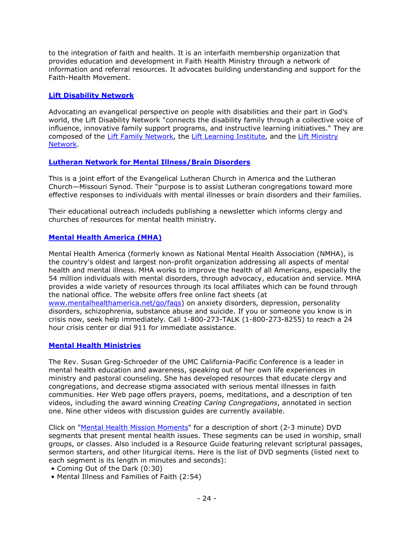to the integration of faith and health. It is an interfaith membership organization that provides education and development in Faith Health Ministry through a network of information and referral resources. It advocates building understanding and support for the Faith-Health Movement.

#### **[Lift Disability Network](http://www.liftdisability.net/)**

Advocating an evangelical perspective on people with disabilities and their part in God's world, the Lift Disability Network "connects the disability family through a collective voice of influence, innovative family support programs, and instructive learning initiatives." They are composed of the [Lift Family Network,](http://www.liftdisability.net/disability_family_network.asp) the [Lift Learning Institute,](http://www.liftdisability.net/disability_learning.asp) and the [Lift Ministry](http://www.liftdisability.net/disability_ministry_network.asp) [Network.](http://www.liftdisability.net/disability_ministry_network.asp)

#### **[Lutheran Network for Mental Illness/Brain Disorders](http://www.elca.org/Growing-In-Faith/Ministry/Disability-Ministries/Mental-Illness/LNMIBD.aspx)**

This is a joint effort of the Evangelical Lutheran Church in America and the Lutheran Church—Missouri Synod. Their "purpose is to assist Lutheran congregations toward more effective responses to individuals with mental illnesses or brain disorders and their families.

Their educational outreach includeds publishing a newsletter which informs clergy and churches of resources for mental health ministry.

#### **[Mental Health America \(MHA\)](http://www.mentalhealthamerica.net/)**

Mental Health America (formerly known as National Mental Health Association (NMHA), is the country's oldest and largest non-profit organization addressing all aspects of mental health and mental illness. MHA works to improve the health of all Americans, especially the 54 million individuals with mental disorders, through advocacy, education and service. MHA provides a wide variety of resources through its local affiliates which can be found through the national office. The website offers free online fact sheets (at [www.mentalhealthamerica.net/go/faqs\)](http://www.mentalhealthamerica.net/go/faqs) on anxiety disorders, depression, personality disorders, schizophrenia, substance abuse and suicide. If you or someone you know is in crisis now, seek help immediately. Call 1-800-273-TALK (1-800-273-8255) to reach a 24 hour crisis center or dial 911 for immediate assistance.

#### **[Mental Health Ministries](http://www.mentalhealthministries.net/)**

The Rev. Susan Greg-Schroeder of the UMC California-Pacific Conference is a leader in mental health education and awareness, speaking out of her own life experiences in ministry and pastoral counseling. She has developed resources that educate clergy and congregations, and decrease stigma associated with serious mental illnesses in faith communities. Her Web page offers prayers, poems, meditations, and a description of ten videos, including the award winning *Creating Caring Congregations*, annotated in section one. Nine other videos with discussion guides are currently available.

Click on ["Mental Health Mission Moments"](http://www.mentalhealthministries.net/mhm_resources/dvd_resources/mission_moments.html) for a description of short (2-3 minute) DVD segments that present mental health issues. These segments can be used in worship, small groups, or classes. Also included is a Resource Guide featuring relevant scriptural passages, sermon starters, and other liturgical items. Here is the list of DVD segments (listed next to each segment is its length in minutes and seconds):

- Coming Out of the Dark (0:30)
- Mental Illness and Families of Faith (2:54)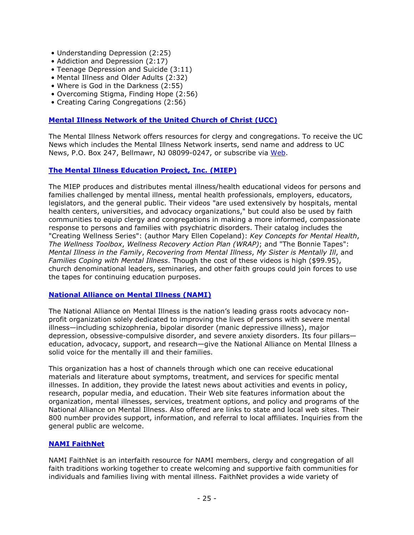- Understanding Depression (2:25)
- Addiction and Depression (2:17)
- Teenage Depression and Suicide (3:11)
- Mental Illness and Older Adults (2:32)
- Where is God in the Darkness (2:55)
- Overcoming Stigma, Finding Hope (2:56)
- Creating Caring Congregations (2:56)

#### **[Mental Illness Network of the United Church of Christ \(UCC\)](http://www.min-ucc.org/)**

The Mental Illness Network offers resources for clergy and congregations. To receive the UC News which includes the Mental Illness Network inserts, send name and address to UC News, P.O. Box 247, Bellmawr, NJ 08099-0247, or subscribe via [Web.](http://www.min-ucc.org/)

#### **[The Mental Illness Education Project, Inc. \(MIEP\)](http://www.miepvideos.org/)**

The MIEP produces and distributes mental illness/health educational videos for persons and families challenged by mental illness, mental health professionals, employers, educators, legislators, and the general public. Their videos "are used extensively by hospitals, mental health centers, universities, and advocacy organizations," but could also be used by faith communities to equip clergy and congregations in making a more informed, compassionate response to persons and families with psychiatric disorders. Their catalog includes the "Creating Wellness Series": (author Mary Ellen Copeland): *Key Concepts for Mental Health*, *The Wellness Toolbox*, *Wellness Recovery Action Plan (WRAP)*; and "The Bonnie Tapes": *Mental Illness in the Family*, *Recovering from Mental Illness*, *My Sister is Mentally Ill*, and *Families Coping with Mental Illness*. Though the cost of these videos is high (\$99.95), church denominational leaders, seminaries, and other faith groups could join forces to use the tapes for continuing education purposes.

#### **[National Alliance on Mental Illness \(NAMI\)](http://www.nami.org/)**

The National Alliance on Mental Illness is the nation's leading grass roots advocacy nonprofit organization solely dedicated to improving the lives of persons with severe mental illness—including schizophrenia, bipolar disorder (manic depressive illness), major depression, obsessive-compulsive disorder, and severe anxiety disorders. Its four pillars education, advocacy, support, and research—give the National Alliance on Mental Illness a solid voice for the mentally ill and their families.

This organization has a host of channels through which one can receive educational materials and literature about symptoms, treatment, and services for specific mental illnesses. In addition, they provide the latest news about activities and events in policy, research, popular media, and education. Their Web site features information about the organization, mental illnesses, services, treatment options, and policy and programs of the National Alliance on Mental Illness. Also offered are links to state and local web sites. Their 800 number provides support, information, and referral to local affiliates. Inquiries from the general public are welcome.

#### **[NAMI FaithNet](http://www.nami.org/namifaithnet)**

NAMI FaithNet is an interfaith resource for NAMI members, clergy and congregation of all faith traditions working together to create welcoming and supportive faith communities for individuals and families living with mental illness. FaithNet provides a wide variety of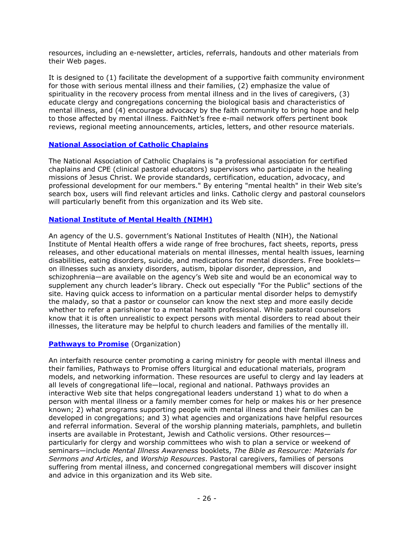resources, including an e-newsletter, articles, referrals, handouts and other materials from their Web pages.

It is designed to (1) facilitate the development of a supportive faith community environment for those with serious mental illness and their families, (2) emphasize the value of spirituality in the recovery process from mental illness and in the lives of caregivers, (3) educate clergy and congregations concerning the biological basis and characteristics of mental illness, and (4) encourage advocacy by the faith community to bring hope and help to those affected by mental illness. FaithNet's free e-mail network offers pertinent book reviews, regional meeting announcements, articles, letters, and other resource materials.

#### **[National Association of Catholic Chaplains](http://www.nacc.org/)**

The National Association of Catholic Chaplains is "a professional association for certified chaplains and CPE (clinical pastoral educators) supervisors who participate in the healing missions of Jesus Christ. We provide standards, certification, education, advocacy, and professional development for our members." By entering "mental health" in their Web site's search box, users will find relevant articles and links. Catholic clergy and pastoral counselors will particularly benefit from this organization and its Web site.

#### **[National Institute of Mental Health \(NIMH\)](http://www.nimh.nih.gov/)**

An agency of the U.S. government's National Institutes of Health (NIH), the National Institute of Mental Health offers a wide range of free brochures, fact sheets, reports, press releases, and other educational materials on mental illnesses, mental health issues, learning disabilities, eating disorders, suicide, and medications for mental disorders. Free booklets on illnesses such as anxiety disorders, autism, bipolar disorder, depression, and schizophrenia—are available on the agency's Web site and would be an economical way to supplement any church leader's library. Check out especially "For the Public" sections of the site. Having quick access to information on a particular mental disorder helps to demystify the malady, so that a pastor or counselor can know the next step and more easily decide whether to refer a parishioner to a mental health professional. While pastoral counselors know that it is often unrealistic to expect persons with mental disorders to read about their illnesses, the literature may be helpful to church leaders and families of the mentally ill.

#### **[Pathways to Promise](http://www.pathways2promise.org/)** (Organization)

An interfaith resource center promoting a caring ministry for people with mental illness and their families, Pathways to Promise offers liturgical and educational materials, program models, and networking information. These resources are useful to clergy and lay leaders at all levels of congregational life—local, regional and national. Pathways provides an interactive Web site that helps congregational leaders understand 1) what to do when a person with mental illness or a family member comes for help or makes his or her presence known; 2) what programs supporting people with mental illness and their families can be developed in congregations; and 3) what agencies and organizations have helpful resources and referral information. Several of the worship planning materials, pamphlets, and bulletin inserts are available in Protestant, Jewish and Catholic versions. Other resources particularly for clergy and worship committees who wish to plan a service or weekend of seminars—include *Mental Illness Awareness* booklets, *The Bible as Resource: Materials for Sermons and Articles*, and *Worship Resources*. Pastoral caregivers, families of persons suffering from mental illness, and concerned congregational members will discover insight and advice in this organization and its Web site.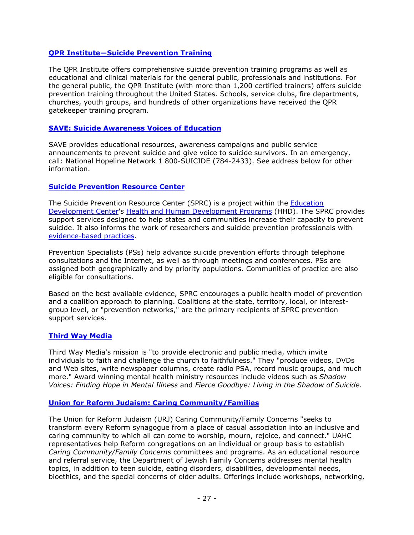#### **[QPR Institute—Suicide Prevention Training](http://www.qprinstitute.com/)**

The QPR Institute offers comprehensive suicide prevention training programs as well as educational and clinical materials for the general public, professionals and institutions. For the general public, the QPR Institute (with more than 1,200 certified trainers) offers suicide prevention training throughout the United States. Schools, service clubs, fire departments, churches, youth groups, and hundreds of other organizations have received the QPR gatekeeper training program.

#### **[SAVE: Suicide Awareness Voices of Education](http://www.save.org/)**

SAVE provides educational resources, awareness campaigns and public service announcements to prevent suicide and give voice to suicide survivors. In an emergency, call: National Hopeline Network 1 800-SUICIDE (784-2433). See address below for other information.

#### **[Suicide Prevention Resource Center](http://www.sprc.org/)**

The Suicide Prevention Resource Center (SPRC) is a project within the [Education](http://main.edc.org/)  [Development Center'](http://main.edc.org/)s [Health and Human Development Programs](http://hhd.org/) (HHD). The SPRC provides support services designed to help states and communities increase their capacity to prevent suicide. It also informs the work of researchers and suicide prevention professionals with [evidence-based practices.](http://www.sprc.org/featured_resources/ebpp/index.asp)

Prevention Specialists (PSs) help advance suicide prevention efforts through telephone consultations and the Internet, as well as through meetings and conferences. PSs are assigned both geographically and by priority populations. Communities of practice are also eligible for consultations.

Based on the best available evidence, SPRC encourages a public health model of prevention and a coalition approach to planning. Coalitions at the state, territory, local, or interestgroup level, or "prevention networks," are the primary recipients of SPRC prevention support services.

#### **[Third Way Media](http://www.thirdwaymedia.org/)**

Third Way Media's mission is "to provide electronic and public media, which invite individuals to faith and challenge the church to faithfulness." They "produce videos, DVDs and Web sites, write newspaper columns, create radio PSA, record music groups, and much more." Award winning mental health ministry resources include videos such as *Shadow Voices: Finding Hope in Mental Illness* and *Fierce Goodbye: Living in the Shadow of Suicide*.

#### **[Union for Reform Judaism: Caring Community/Families](http://urj.org/life/community/family/)**

The Union for Reform Judaism (URJ) Caring Community/Family Concerns "seeks to transform every Reform synagogue from a place of casual association into an inclusive and caring community to which all can come to worship, mourn, rejoice, and connect." UAHC representatives help Reform congregations on an individual or group basis to establish *Caring Community/Family Concerns* committees and programs. As an educational resource and referral service, the Department of Jewish Family Concerns addresses mental health topics, in addition to teen suicide, eating disorders, disabilities, developmental needs, bioethics, and the special concerns of older adults. Offerings include workshops, networking,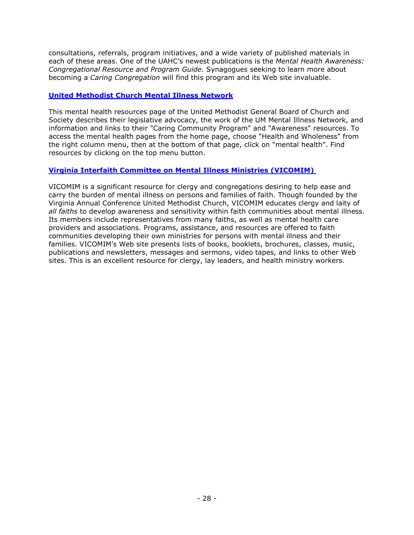consultations, referrals, program initiatives, and a wide variety of published materials in each of these areas. One of the UAHC's newest publications is the *Mental Health Awareness: Congregational Resource and Program Guide*. Synagogues seeking to learn more about becoming a *Caring Congregation* will find this program and its Web site invaluable.

#### **[United Methodist Church Mental Illness Network](http://www.umc-gbcs.org/site/apps/nl/content3.asp?c=frLJK2PKLqF&b=3631781&ct=3961245)**

This mental health resources page of the United Methodist General Board of Church and Society describes their legislative advocacy, the work of the UM Mental Illness Network, and information and links to their "Caring Community Program" and "Awareness" resources. To access the mental health pages from the home page, choose "Health and Wholeness" from the right column menu, then at the bottom of that page, click on "mental health". Find resources by clicking on the top menu button.

#### **[Virginia Interfaith Committee on Mental Illness Ministries \(VICOMIM\)](http://www.old.vaumc.org/index.cfm/fa/content.view/menuID/888.htm)**

VICOMIM is a significant resource for clergy and congregations desiring to help ease and carry the burden of mental illness on persons and families of faith. Though founded by the Virginia Annual Conference United Methodist Church, VICOMIM educates clergy and laity of *all faiths* to develop awareness and sensitivity within faith communities about mental illness. Its members include representatives from many faiths, as well as mental health care providers and associations. Programs, assistance, and resources are offered to faith communities developing their own ministries for persons with mental illness and their families. VICOMIM's Web site presents lists of books, booklets, brochures, classes, music, publications and newsletters, messages and sermons, video tapes, and links to other Web sites. This is an excellent resource for clergy, lay leaders, and health ministry workers.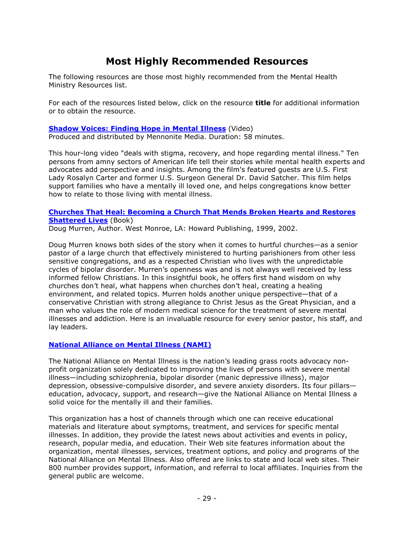# **Most Highly Recommended Resources**

<span id="page-28-0"></span>The following resources are those most highly recommended from the Mental Health Ministry Resources list.

For each of the resources listed below, click on the resource **title** for additional information or to obtain the resource.

#### **[Shadow Voices: Finding Hope in Mental Illness](http://www.shadowvoices.com/)** (Video)

Produced and distributed by Mennonite Media. Duration: 58 minutes.

This hour-long video "deals with stigma, recovery, and hope regarding mental illness." Ten persons from amny sectors of American life tell their stories while mental health experts and advocates add perspective and insights. Among the film's featured guests are U.S. First Lady Rosalyn Carter and former U.S. Surgeon General Dr. David Satcher. This film helps support families who have a mentally ill loved one, and helps congregations know better how to relate to those living with mental illness.

#### **[Churches That Heal: Becoming a Church That Mends Broken Hearts and Restores](http://www.amazon.com/dp/1582293015)  [Shattered Lives](http://www.amazon.com/dp/1582293015)** (Book)

Doug Murren, Author. West Monroe, LA: Howard Publishing, 1999, 2002.

Doug Murren knows both sides of the story when it comes to hurtful churches—as a senior pastor of a large church that effectively ministered to hurting parishioners from other less sensitive congregations, and as a respected Christian who lives with the unpredictable cycles of bipolar disorder. Murren's openness was and is not always well received by less informed fellow Christians. In this insightful book, he offers first hand wisdom on why churches don't heal, what happens when churches don't heal, creating a healing environment, and related topics. Murren holds another unique perspective—that of a conservative Christian with strong allegiance to Christ Jesus as the Great Physician, and a man who values the role of modern medical science for the treatment of severe mental illnesses and addiction. Here is an invaluable resource for every senior pastor, his staff, and lay leaders.

#### **[National Alliance on Mental Illness \(NAMI\)](http://www.nami.org/)**

The National Alliance on Mental Illness is the nation's leading grass roots advocacy nonprofit organization solely dedicated to improving the lives of persons with severe mental illness—including schizophrenia, bipolar disorder (manic depressive illness), major depression, obsessive-compulsive disorder, and severe anxiety disorders. Its four pillars education, advocacy, support, and research—give the National Alliance on Mental Illness a solid voice for the mentally ill and their families.

This organization has a host of channels through which one can receive educational materials and literature about symptoms, treatment, and services for specific mental illnesses. In addition, they provide the latest news about activities and events in policy, research, popular media, and education. Their Web site features information about the organization, mental illnesses, services, treatment options, and policy and programs of the National Alliance on Mental Illness. Also offered are links to state and local web sites. Their 800 number provides support, information, and referral to local affiliates. Inquiries from the general public are welcome.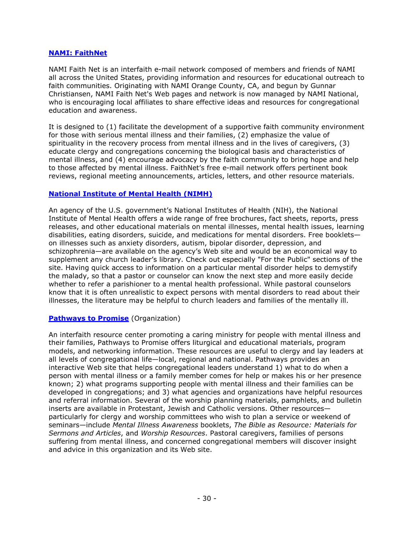#### **[NAMI: FaithNet](http://www.nami.org/namifaithnet)**

NAMI Faith Net is an interfaith e-mail network composed of members and friends of NAMI all across the United States, providing information and resources for educational outreach to faith communities. Originating with NAMI Orange County, CA, and begun by Gunnar Christiansen, NAMI Faith Net's Web pages and network is now managed by NAMI National, who is encouraging local affiliates to share effective ideas and resources for congregational education and awareness.

It is designed to (1) facilitate the development of a supportive faith community environment for those with serious mental illness and their families, (2) emphasize the value of spirituality in the recovery process from mental illness and in the lives of caregivers, (3) educate clergy and congregations concerning the biological basis and characteristics of mental illness, and (4) encourage advocacy by the faith community to bring hope and help to those affected by mental illness. FaithNet's free e-mail network offers pertinent book reviews, regional meeting announcements, articles, letters, and other resource materials.

#### **[National Institute of Mental Health \(NIMH\)](http://www.nimh.nih.gov/)**

An agency of the U.S. government's National Institutes of Health (NIH), the National Institute of Mental Health offers a wide range of free brochures, fact sheets, reports, press releases, and other educational materials on mental illnesses, mental health issues, learning disabilities, eating disorders, suicide, and medications for mental disorders. Free booklets on illnesses such as anxiety disorders, autism, bipolar disorder, depression, and schizophrenia—are available on the agency's Web site and would be an economical way to supplement any church leader's library. Check out especially "For the Public" sections of the site. Having quick access to information on a particular mental disorder helps to demystify the malady, so that a pastor or counselor can know the next step and more easily decide whether to refer a parishioner to a mental health professional. While pastoral counselors know that it is often unrealistic to expect persons with mental disorders to read about their illnesses, the literature may be helpful to church leaders and families of the mentally ill.

#### **[Pathways to Promise](http://www.pathways2promise.org/)** (Organization)

An interfaith resource center promoting a caring ministry for people with mental illness and their families, Pathways to Promise offers liturgical and educational materials, program models, and networking information. These resources are useful to clergy and lay leaders at all levels of congregational life—local, regional and national. Pathways provides an interactive Web site that helps congregational leaders understand 1) what to do when a person with mental illness or a family member comes for help or makes his or her presence known; 2) what programs supporting people with mental illness and their families can be developed in congregations; and 3) what agencies and organizations have helpful resources and referral information. Several of the worship planning materials, pamphlets, and bulletin inserts are available in Protestant, Jewish and Catholic versions. Other resources particularly for clergy and worship committees who wish to plan a service or weekend of seminars—include *Mental Illness Awareness* booklets, *The Bible as Resource: Materials for Sermons and Articles*, and *Worship Resources*. Pastoral caregivers, families of persons suffering from mental illness, and concerned congregational members will discover insight and advice in this organization and its Web site.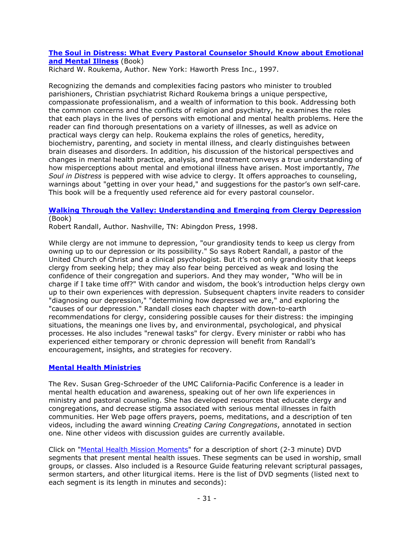#### **[The Soul in Distress: What Every Pastoral Counselor Should Know about Emotional](http://www.amazon.com/dp/0789001985)  [and Mental Illness](http://www.amazon.com/dp/0789001985)** (Book)

Richard W. Roukema, Author. New York: Haworth Press Inc., 1997.

Recognizing the demands and complexities facing pastors who minister to troubled parishioners, Christian psychiatrist Richard Roukema brings a unique perspective, compassionate professionalism, and a wealth of information to this book. Addressing both the common concerns and the conflicts of religion and psychiatry, he examines the roles that each plays in the lives of persons with emotional and mental health problems. Here the reader can find thorough presentations on a variety of illnesses, as well as advice on practical ways clergy can help. Roukema explains the roles of genetics, heredity, biochemistry, parenting, and society in mental illness, and clearly distinguishes between brain diseases and disorders. In addition, his discussion of the historical perspectives and changes in mental health practice, analysis, and treatment conveys a true understanding of how misperceptions about mental and emotional illness have arisen. Most importantly, *The Soul in Distress* is peppered with wise advice to clergy. It offers approaches to counseling, warnings about "getting in over your head," and suggestions for the pastor's own self-care. This book will be a frequently used reference aid for every pastoral counselor.

#### **[Walking Through the Valley: Understanding and Emerging from Clergy Depression](http://www.amazon.com/dp/0687014638)** (Book)

Robert Randall, Author. Nashville, TN: Abingdon Press, 1998.

While clergy are not immune to depression, "our grandiosity tends to keep us clergy from owning up to our depression or its possibility." So says Robert Randall, a pastor of the United Church of Christ and a clinical psychologist. But it's not only grandiosity that keeps clergy from seeking help; they may also fear being perceived as weak and losing the confidence of their congregation and superiors. And they may wonder, "Who will be in charge if I take time off?" With candor and wisdom, the book's introduction helps clergy own up to their own experiences with depression. Subsequent chapters invite readers to consider "diagnosing our depression," "determining how depressed we are," and exploring the "causes of our depression." Randall closes each chapter with down-to-earth recommendations for clergy, considering possible causes for their distress: the impinging situations, the meanings one lives by, and environmental, psychological, and physical processes. He also includes "renewal tasks" for clergy. Every minister or rabbi who has experienced either temporary or chronic depression will benefit from Randall's encouragement, insights, and strategies for recovery.

#### **[Mental Health Ministries](http://www.mentalhealthministries.net/)**

The Rev. Susan Greg-Schroeder of the UMC California-Pacific Conference is a leader in mental health education and awareness, speaking out of her own life experiences in ministry and pastoral counseling. She has developed resources that educate clergy and congregations, and decrease stigma associated with serious mental illnesses in faith communities. Her Web page offers prayers, poems, meditations, and a description of ten videos, including the award winning *Creating Caring Congregations*, annotated in section one. Nine other videos with discussion guides are currently available.

Click on ["Mental Health Mission Moments"](http://www.mentalhealthministries.net/mhm_resources/dvd_resources/mission_moments.html) for a description of short (2-3 minute) DVD segments that present mental health issues. These segments can be used in worship, small groups, or classes. Also included is a Resource Guide featuring relevant scriptural passages, sermon starters, and other liturgical items. Here is the list of DVD segments (listed next to each segment is its length in minutes and seconds):